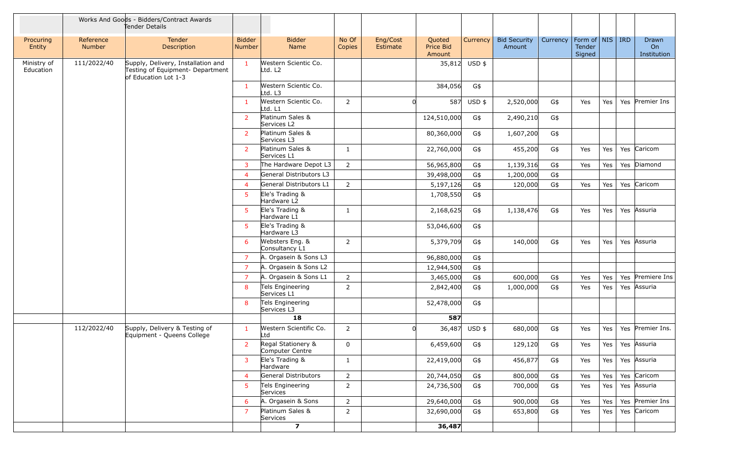|                          |                     | Works And Goods - Bidders/Contract Awards<br>Tender Details                                    |                         |                                       |                 |                      |                               |               |                               |          |                                                     |            |                                        |
|--------------------------|---------------------|------------------------------------------------------------------------------------------------|-------------------------|---------------------------------------|-----------------|----------------------|-------------------------------|---------------|-------------------------------|----------|-----------------------------------------------------|------------|----------------------------------------|
| Procuring<br>Entity      | Reference<br>Number | Tender<br>Description                                                                          | <b>Bidder</b><br>Number | <b>Bidder</b><br>Name                 | No Of<br>Copies | Eng/Cost<br>Estimate | Quoted<br>Price Bid<br>Amount | Currency      | <b>Bid Security</b><br>Amount | Currency | Form of $\vert$ NIS $\vert$ IRD<br>Tender<br>Signed |            | Drawn<br>O <sub>n</sub><br>Institution |
| Ministry of<br>Education | 111/2022/40         | Supply, Delivery, Installation and<br>Testing of Equipment- Department<br>of Education Lot 1-3 | $\mathbf{1}$            | Western Scientic Co.<br>Ltd. L2       |                 |                      |                               | 35,812 USD \$ |                               |          |                                                     |            |                                        |
|                          |                     |                                                                                                | $\mathbf{1}$            | Western Scientic Co.<br>Ltd. L3       |                 |                      | 384,056                       | G\$           |                               |          |                                                     |            |                                        |
|                          |                     |                                                                                                | $\mathbf{1}$            | Western Scientic Co.<br>Ltd. L1       | 2               | $\Omega$             | 587                           | $USD$ \$      | 2,520,000                     | G\$      | Yes                                                 | Yes        | Yes Premier Ins                        |
|                          |                     |                                                                                                | $\overline{2}$          | Platinum Sales &<br>Services L2       |                 |                      | 124,510,000                   | G\$           | 2,490,210                     | G\$      |                                                     |            |                                        |
|                          |                     |                                                                                                | $\overline{2}$          | Platinum Sales &<br>Services L3       |                 |                      | 80,360,000                    | G\$           | 1,607,200                     | G\$      |                                                     |            |                                        |
|                          |                     |                                                                                                | $\overline{2}$          | Platinum Sales &<br>Services L1       | 1               |                      | 22,760,000                    | G\$           | 455,200                       | G\$      | Yes                                                 | Yes        | Yes Caricom                            |
|                          |                     |                                                                                                | $\mathbf{3}$            | The Hardware Depot L3                 | $\overline{2}$  |                      | 56,965,800                    | G\$           | 1,139,316                     | G\$      | Yes                                                 | Yes        | Yes Diamond                            |
|                          |                     |                                                                                                | $\overline{4}$          | General Distributors L3               |                 |                      | 39,498,000                    | G\$           | 1,200,000                     | G\$      |                                                     |            |                                        |
|                          |                     |                                                                                                | $\overline{4}$          | General Distributors L1               | $\overline{2}$  |                      | 5,197,126                     | G\$           | 120,000                       | G\$      | Yes                                                 | Yes        | Yes Caricom                            |
|                          |                     |                                                                                                | 5 <sup>5</sup>          | Ele's Trading &<br>Hardware L2        |                 |                      | 1,708,550                     | G\$           |                               |          |                                                     |            |                                        |
|                          |                     |                                                                                                | 5 <sup>5</sup>          | Ele's Trading &<br>Hardware L1        | $\mathbf{1}$    |                      | 2,168,625                     | G\$           | 1,138,476                     | G\$      | Yes                                                 | Yes        | Yes Assuria                            |
|                          |                     |                                                                                                | 5                       | Ele's Trading &<br>Hardware L3        |                 |                      | 53,046,600                    | G\$           |                               |          |                                                     |            |                                        |
|                          |                     |                                                                                                | 6                       | Websters Eng. &<br>Consultancy L1     | 2               |                      | 5,379,709                     | G\$           | 140,000                       | G\$      | Yes                                                 | Yes        | Yes Assuria                            |
|                          |                     |                                                                                                | $\overline{7}$          | A. Orgasein & Sons L3                 |                 |                      | 96,880,000                    | G\$           |                               |          |                                                     |            |                                        |
|                          |                     |                                                                                                | $\overline{7}$          | A. Orgasein & Sons L2                 |                 |                      | 12,944,500                    | G\$           |                               |          |                                                     |            |                                        |
|                          |                     |                                                                                                | $\overline{7}$          | A. Orgasein & Sons L1                 | $\overline{2}$  |                      | 3,465,000                     | G\$           | 600,000                       | G\$      | Yes                                                 | Yes        | Yes Premiere Ins                       |
|                          |                     |                                                                                                | 8                       | Tels Engineering<br>Services L1       | $\overline{2}$  |                      | 2,842,400                     | G\$           | 1,000,000                     | G\$      | Yes                                                 | Yes        | Yes Assuria                            |
|                          |                     |                                                                                                | 8                       | Tels Engineering<br>Services L3       |                 |                      | 52,478,000                    | G\$           |                               |          |                                                     |            |                                        |
|                          |                     |                                                                                                |                         | 18                                    |                 |                      | 587                           |               |                               |          |                                                     |            |                                        |
|                          | 112/2022/40         | Supply, Delivery & Testing of<br>Equipment - Queens College                                    | $\mathbf{1}$            | Western Scientific Co.<br>Ltd         | $\overline{2}$  |                      | 36,487                        | $USD$ \$      | 680,000                       | G\$      | Yes                                                 | Yes        | Yes Premier Ins.                       |
|                          |                     |                                                                                                | $\overline{2}$          | Regal Stationery &<br>Computer Centre | $\mathbf 0$     |                      | 6,459,600                     | G\$           | 129,120                       | G\$      | Yes                                                 |            | Yes   Yes   Assuria                    |
|                          |                     |                                                                                                | $\mathbf{3}$            | Ele's Trading &<br>Hardware           | $\mathbf{1}$    |                      | 22,419,000                    | G\$           | 456,877                       | G\$      | Yes                                                 | $Yes \mid$ | Yes Assuria                            |
|                          |                     |                                                                                                | $\overline{4}$          | General Distributors                  | $\overline{2}$  |                      | 20,744,050                    | G\$           | 800,000                       | G\$      | Yes                                                 | Yes        | Yes Caricom                            |
|                          |                     |                                                                                                | 5                       | Tels Engineering<br>Services          | $\overline{2}$  |                      | 24,736,500                    | G\$           | 700,000                       | G\$      | Yes                                                 | Yes $ $    | Yes Assuria                            |
|                          |                     |                                                                                                | 6                       | A. Orgasein & Sons                    | $\overline{2}$  |                      | 29,640,000                    | G\$           | 900,000                       | G\$      | Yes                                                 | Yes        | Yes Premier Ins                        |
|                          |                     |                                                                                                | $\overline{7}$          | Platinum Sales &<br>Services          | $\overline{2}$  |                      | 32,690,000                    | G\$           | 653,800                       | G\$      | Yes                                                 | Yes        | Yes Caricom                            |
|                          |                     |                                                                                                |                         | $\overline{\mathbf{z}}$               |                 |                      | 36,487                        |               |                               |          |                                                     |            |                                        |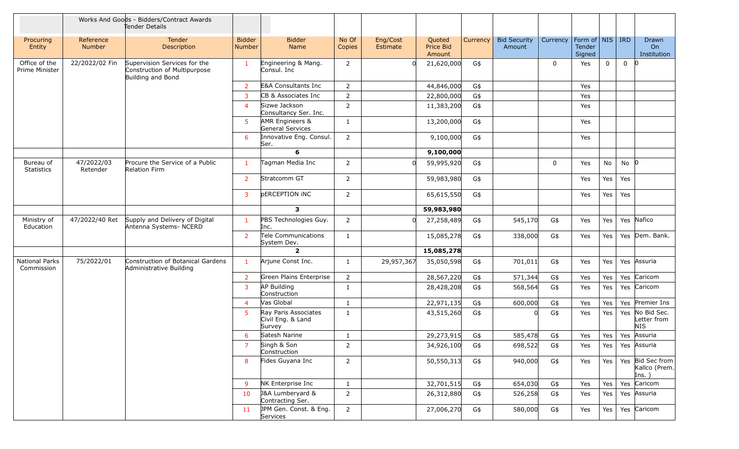|                                 |                            | Works And Goods - Bidders/Contract Awards<br>Tender Details                       |                                |                                                     |                 |                      |                               |          |                               |             |                                     |             |             |                                            |
|---------------------------------|----------------------------|-----------------------------------------------------------------------------------|--------------------------------|-----------------------------------------------------|-----------------|----------------------|-------------------------------|----------|-------------------------------|-------------|-------------------------------------|-------------|-------------|--------------------------------------------|
| Procuring<br>Entity             | Reference<br><b>Number</b> | Tender<br>Description                                                             | <b>Bidder</b><br><b>Number</b> | <b>Bidder</b><br>Name                               | No Of<br>Copies | Eng/Cost<br>Estimate | Quoted<br>Price Bid<br>Amount | Currency | <b>Bid Security</b><br>Amount | Currency    | Form of   NIS  <br>Tender<br>Signed |             | <b>IRD</b>  | Drawn<br>On<br>Institution                 |
| Office of the<br>Prime Minister | 22/2022/02 Fin             | Supervision Services for the<br>Construction of Multipurpose<br>Building and Bond | -1                             | Engineering & Mang.<br>Consul. Inc                  | $\overline{2}$  |                      | 21,620,000                    | G\$      |                               | $\mathbf 0$ | Yes                                 | $\mathbf 0$ | $\mathbf 0$ | $\Omega$                                   |
|                                 |                            |                                                                                   | $\overline{2}$                 | <b>E&amp;A Consultants Inc</b>                      | 2               |                      | 44,846,000                    | G\$      |                               |             | Yes                                 |             |             |                                            |
|                                 |                            |                                                                                   | $\mathbf{3}$                   | CB & Associates Inc                                 | $\overline{2}$  |                      | 22,800,000                    | G\$      |                               |             | Yes                                 |             |             |                                            |
|                                 |                            |                                                                                   | $\overline{4}$                 | Sizwe Jackson<br>Consultancy Ser. Inc.              | $\overline{2}$  |                      | 11,383,200                    | G\$      |                               |             | Yes                                 |             |             |                                            |
|                                 |                            |                                                                                   | 5 <sup>5</sup>                 | AMR Engineers &<br>General Services                 | 1               |                      | 13,200,000                    | G\$      |                               |             | Yes                                 |             |             |                                            |
|                                 |                            |                                                                                   | 6                              | Innovative Eng. Consul.<br>Ser.                     | 2               |                      | 9,100,000                     | G\$      |                               |             | Yes                                 |             |             |                                            |
|                                 |                            |                                                                                   |                                | 6                                                   |                 |                      | 9,100,000                     |          |                               |             |                                     |             |             |                                            |
| Bureau of<br><b>Statistics</b>  | 47/2022/03<br>Retender     | Procure the Service of a Public<br>Relation Firm                                  | $\mathbf{1}$                   | Tagman Media Inc                                    | 2               | <sup>0</sup>         | 59,995,920                    | G\$      |                               | 0           | Yes                                 | No          | $No$ 0      |                                            |
|                                 |                            |                                                                                   | $\overline{2}$                 | Stratcomm GT                                        | $\overline{2}$  |                      | 59,983,980                    | G\$      |                               |             | Yes                                 | Yes         | Yes         |                                            |
|                                 |                            |                                                                                   | 3                              | <b>DERCEPTION INC</b>                               | 2               |                      | 65,615,550                    | G\$      |                               |             | Yes                                 | Yes         | Yes         |                                            |
|                                 |                            |                                                                                   |                                | $\mathbf{3}$                                        |                 |                      | 59,983,980                    |          |                               |             |                                     |             |             |                                            |
| Ministry of<br>Education        | 47/2022/40 Ret             | Supply and Delivery of Digital<br>Antenna Systems- NCERD                          | $\mathbf{1}$                   | PBS Technologies Guy.<br>Inc.                       | $\overline{2}$  |                      | 27,258,489                    | G\$      | 545,170                       | G\$         | Yes                                 | Yes         |             | Yes Nafico                                 |
|                                 |                            |                                                                                   | $\overline{2}$                 | Tele Communications<br>System Dev.                  | 1               |                      | 15,085,278                    | G\$      | 338,000                       | G\$         | Yes                                 | Yes         |             | Yes Dem. Bank.                             |
|                                 |                            |                                                                                   |                                | $\overline{2}$                                      |                 |                      | 15,085,278                    |          |                               |             |                                     |             |             |                                            |
| National Parks<br>Commission    | 75/2022/01                 | Construction of Botanical Gardens<br>Administrative Building                      | $\mathbf{1}$                   | Arjune Const Inc.                                   | 1               | 29,957,367           | 35,050,598                    | G\$      | 701,011                       | G\$         | Yes                                 | Yes         |             | Yes Assuria                                |
|                                 |                            |                                                                                   | $\overline{2}$                 | Green Plains Enterprise                             | $\overline{2}$  |                      | 28,567,220                    | G\$      | 571,344                       | G\$         | Yes                                 | Yes         | Yes         | Caricom                                    |
|                                 |                            |                                                                                   | $\mathbf{3}$                   | AP Building<br>Construction                         | 1               |                      | 28,428,208                    | G\$      | 568,564                       | G\$         | Yes                                 | Yes         |             | Yes Caricom                                |
|                                 |                            |                                                                                   | $\overline{4}$                 | Vas Global                                          | $\mathbf{1}$    |                      | 22,971,135                    | G\$      | 600,000                       | G\$         | Yes                                 | Yes         |             | Yes Premier Ins                            |
|                                 |                            |                                                                                   | -5                             | Ray Paris Associates<br>Civil Eng. & Land<br>Survey | 1               |                      | 43,515,260                    | G\$      |                               | G\$         | Yes                                 | Yes         |             | Yes No Bid Sec.<br>Letter from<br>NIS.     |
|                                 |                            |                                                                                   | 6                              | Satesh Narine                                       | $\mathbf{1}$    |                      | 29,273,915                    | G\$      | 585,478                       | G\$         | Yes                                 | Yes         | Yes         | Assuria                                    |
|                                 |                            |                                                                                   | 7                              | Singh & Son<br>Construction                         | $\overline{2}$  |                      | 34,926,100                    | G\$      | 698,522                       | G\$         | Yes                                 | Yes         |             | Yes Assuria                                |
|                                 |                            |                                                                                   | 8                              | Fides Guyana Inc                                    | $\overline{2}$  |                      | 50,550,313                    | G\$      | 940,000                       | G\$         | Yes                                 | Yes         |             | Yes Bid Sec from<br>Kallco (Prem.<br>Ins.) |
|                                 |                            |                                                                                   | 9                              | NK Enterprise Inc                                   | $\mathbf{1}$    |                      | 32,701,515                    | G\$      | 654,030                       | G\$         | Yes                                 | Yes         |             | Yes Caricom                                |
|                                 |                            |                                                                                   | 10                             | J&A Lumberyard &<br>Contracting Ser.                | $\overline{2}$  |                      | 26,312,880                    | G\$      | 526,258                       | G\$         | Yes                                 | Yes         |             | Yes Assuria                                |
|                                 |                            |                                                                                   | 11                             | JPM Gen. Const. & Eng.<br>Services                  | $\overline{2}$  |                      | 27,006,270                    | G\$      | 580,000                       | G\$         | Yes                                 | Yes         |             | Yes Caricom                                |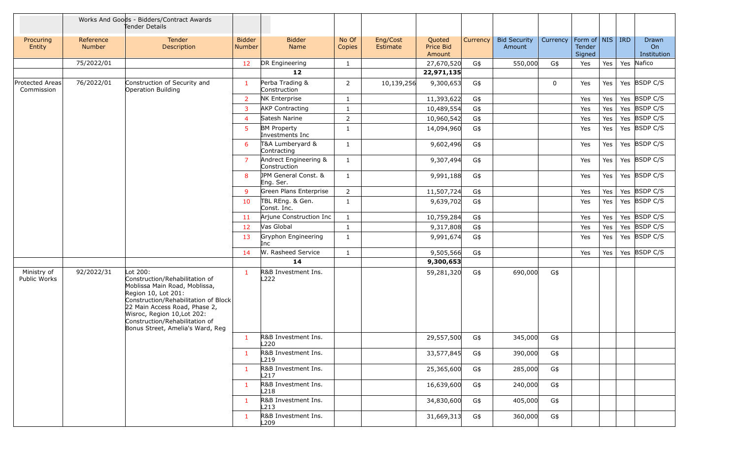|                                      |                     | Works And Goods - Bidders/Contract Awards<br>Tender Details                                                                                                                                                                                                                      |                                |                                         |                 |                      |                               |          |                               |             |                                                 |     |            |                            |
|--------------------------------------|---------------------|----------------------------------------------------------------------------------------------------------------------------------------------------------------------------------------------------------------------------------------------------------------------------------|--------------------------------|-----------------------------------------|-----------------|----------------------|-------------------------------|----------|-------------------------------|-------------|-------------------------------------------------|-----|------------|----------------------------|
| Procuring<br>Entity                  | Reference<br>Number | Tender<br>Description                                                                                                                                                                                                                                                            | <b>Bidder</b><br><b>Number</b> | <b>Bidder</b><br>Name                   | No Of<br>Copies | Eng/Cost<br>Estimate | Quoted<br>Price Bid<br>Amount | Currency | <b>Bid Security</b><br>Amount | Currency    | Form of $\vert$ NIS $\vert$<br>Tender<br>Signed |     | <b>IRD</b> | Drawn<br>On<br>Institution |
|                                      | 75/2022/01          |                                                                                                                                                                                                                                                                                  | 12                             | DR Engineering                          | $\mathbf{1}$    |                      | 27,670,520                    | G\$      | 550,000                       | G\$         | Yes                                             | Yes | Yes        | Nafico                     |
|                                      |                     |                                                                                                                                                                                                                                                                                  |                                | 12                                      |                 |                      | 22,971,135                    |          |                               |             |                                                 |     |            |                            |
| <b>Protected Areas</b><br>Commission | 76/2022/01          | Construction of Security and<br>Operation Building                                                                                                                                                                                                                               | $\mathbf{1}$                   | Perba Trading &<br>Construction         | 2               | 10,139,256           | 9,300,653                     | G\$      |                               | $\mathbf 0$ | Yes                                             | Yes |            | Yes BSDP C/S               |
|                                      |                     |                                                                                                                                                                                                                                                                                  | $\overline{2}$                 | NK Enterprise                           | 1               |                      | 11,393,622                    | G\$      |                               |             | Yes                                             | Yes |            | Yes BSDP C/S               |
|                                      |                     |                                                                                                                                                                                                                                                                                  | $\overline{3}$                 | <b>AKP Contracting</b>                  | 1               |                      | 10,489,554                    | G\$      |                               |             | Yes                                             | Yes |            | Yes BSDP C/S               |
|                                      |                     |                                                                                                                                                                                                                                                                                  | $\overline{4}$                 | Satesh Narine                           | 2               |                      | 10,960,542                    | G\$      |                               |             | Yes                                             | Yes |            | Yes BSDP C/S               |
|                                      |                     |                                                                                                                                                                                                                                                                                  | 5                              | <b>BM Property</b><br>Investments Inc   | $\mathbf{1}$    |                      | 14,094,960                    | G\$      |                               |             | Yes                                             | Yes |            | Yes BSDP C/S               |
|                                      |                     |                                                                                                                                                                                                                                                                                  | 6                              | T&A Lumberyard &<br>Contracting         | $\mathbf{1}$    |                      | 9,602,496                     | G\$      |                               |             | Yes                                             | Yes |            | Yes BSDP C/S               |
|                                      |                     |                                                                                                                                                                                                                                                                                  | $\overline{7}$                 | Andrect Engineering &<br>Construction   | $\mathbf{1}$    |                      | 9,307,494                     | G\$      |                               |             | Yes                                             | Yes |            | Yes BSDP C/S               |
|                                      |                     |                                                                                                                                                                                                                                                                                  | 8                              | JPM General Const. &<br>Eng. Ser.       | 1               |                      | 9,991,188                     | G\$      |                               |             | Yes                                             | Yes |            | Yes BSDP C/S               |
|                                      |                     |                                                                                                                                                                                                                                                                                  | 9                              | Green Plans Enterprise                  | $\overline{2}$  |                      | 11,507,724                    | G\$      |                               |             | Yes                                             | Yes |            | Yes BSDP C/S               |
|                                      |                     |                                                                                                                                                                                                                                                                                  | 10                             | TBL REng. & Gen.<br>Const. Inc.         | 1               |                      | 9,639,702                     | G\$      |                               |             | Yes                                             | Yes |            | Yes BSDP C/S               |
|                                      |                     |                                                                                                                                                                                                                                                                                  | 11                             | Arjune Construction Inc                 | $\mathbf{1}$    |                      | 10,759,284                    | G\$      |                               |             | Yes                                             | Yes |            | Yes BSDP C/S               |
|                                      |                     |                                                                                                                                                                                                                                                                                  | 12                             | Vas Global                              | $\mathbf{1}$    |                      | 9,317,808                     | G\$      |                               |             | Yes                                             | Yes |            | Yes BSDP C/S               |
|                                      |                     |                                                                                                                                                                                                                                                                                  | 13                             | Gryphon Engineering<br>Inc              | $\mathbf{1}$    |                      | 9,991,674                     | G\$      |                               |             | Yes                                             | Yes |            | Yes BSDP C/S               |
|                                      |                     |                                                                                                                                                                                                                                                                                  | 14                             | W. Rasheed Service                      | $\mathbf{1}$    |                      | 9,505,566                     | G\$      |                               |             | Yes                                             | Yes |            | Yes BSDP C/S               |
|                                      |                     |                                                                                                                                                                                                                                                                                  |                                | 14                                      |                 |                      | 9,300,653                     |          |                               |             |                                                 |     |            |                            |
| Ministry of<br>Public Works          | 92/2022/31          | Lot 200:<br>Construction/Rehabilitation of<br>Moblissa Main Road, Moblissa,<br>Region 10, Lot 201:<br>Construction/Rehabilitation of Block<br>22 Main Access Road, Phase 2,<br>Wisroc, Region 10, Lot 202:<br>Construction/Rehabilitation of<br>Bonus Street, Amelia's Ward, Reg | 1                              | R&B Investment Ins.<br>L <sub>222</sub> |                 |                      | 59,281,320                    | G\$      | 690,000                       | G\$         |                                                 |     |            |                            |
|                                      |                     |                                                                                                                                                                                                                                                                                  | $\mathbf{1}$                   | R&B Investment Ins.<br>L220             |                 |                      | 29,557,500                    | G\$      | 345,000                       | G\$         |                                                 |     |            |                            |
|                                      |                     |                                                                                                                                                                                                                                                                                  | 1                              | R&B Investment Ins.<br>L219             |                 |                      | 33,577,845                    | G\$      | 390,000                       | G\$         |                                                 |     |            |                            |
|                                      |                     |                                                                                                                                                                                                                                                                                  | $\mathbf{1}$                   | R&B Investment Ins.<br>L217             |                 |                      | 25,365,600                    | G\$      | 285,000                       | G\$         |                                                 |     |            |                            |
|                                      |                     |                                                                                                                                                                                                                                                                                  | $\mathbf{1}$                   | R&B Investment Ins.<br>L218             |                 |                      | 16,639,600                    | G\$      | 240,000                       | G\$         |                                                 |     |            |                            |
|                                      |                     |                                                                                                                                                                                                                                                                                  | $\mathbf{1}$                   | R&B Investment Ins.<br>L213             |                 |                      | 34,830,600                    | G\$      | 405,000                       | G\$         |                                                 |     |            |                            |
|                                      |                     |                                                                                                                                                                                                                                                                                  | $\mathbf{1}$                   | R&B Investment Ins.<br>L <sub>209</sub> |                 |                      | 31,669,313                    | G\$      | 360,000                       | G\$         |                                                 |     |            |                            |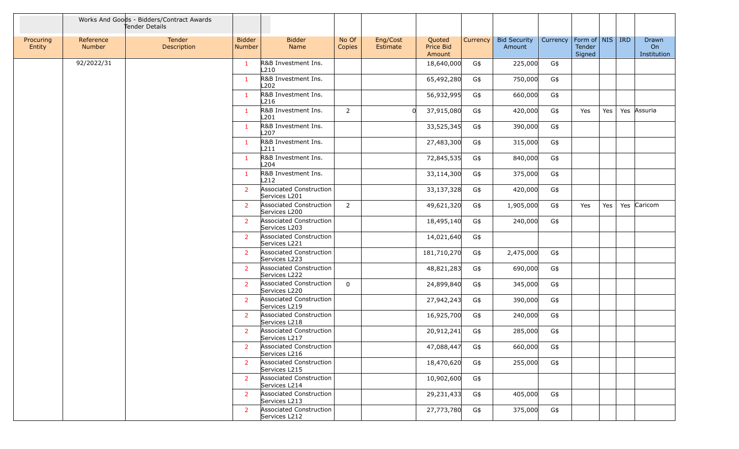|                     |                     | Works And Goods - Bidders/Contract Awards<br>Tender Details |                                |                                                 |                 |                      |                               |          |                               |                                |                  |     |                            |
|---------------------|---------------------|-------------------------------------------------------------|--------------------------------|-------------------------------------------------|-----------------|----------------------|-------------------------------|----------|-------------------------------|--------------------------------|------------------|-----|----------------------------|
| Procuring<br>Entity | Reference<br>Number | <b>Tender</b><br>Description                                | <b>Bidder</b><br><b>Number</b> | <b>Bidder</b><br>Name                           | No Of<br>Copies | Eng/Cost<br>Estimate | Quoted<br>Price Bid<br>Amount | Currency | <b>Bid Security</b><br>Amount | Currency   Form of   NIS   IRD | Tender<br>Signed |     | Drawn<br>On<br>Institution |
|                     | 92/2022/31          |                                                             | 1                              | R&B Investment Ins.<br>L210                     |                 |                      | 18,640,000                    | G\$      | 225,000                       | G\$                            |                  |     |                            |
|                     |                     |                                                             | $\mathbf{1}$                   | R&B Investment Ins.<br>L <sub>202</sub>         |                 |                      | 65,492,280                    | G\$      | 750,000                       | G\$                            |                  |     |                            |
|                     |                     |                                                             | $\mathbf{1}$                   | R&B Investment Ins.<br>L216                     |                 |                      | 56,932,995                    | G\$      | 660,000                       | G\$                            |                  |     |                            |
|                     |                     |                                                             | $\mathbf{1}$                   | R&B Investment Ins.<br>L201                     | $\overline{2}$  |                      | 37,915,080                    | G\$      | 420,000                       | G\$                            | Yes              | Yes | Yes Assuria                |
|                     |                     |                                                             | $\mathbf{1}$                   | R&B Investment Ins.<br>L <sub>207</sub>         |                 |                      | 33,525,345                    | G\$      | 390,000                       | G\$                            |                  |     |                            |
|                     |                     |                                                             | 1                              | R&B Investment Ins.<br>L211                     |                 |                      | 27,483,300                    | G\$      | 315,000                       | G\$                            |                  |     |                            |
|                     |                     |                                                             | $\mathbf{1}$                   | R&B Investment Ins.<br>L204                     |                 |                      | 72,845,535                    | G\$      | 840,000                       | G\$                            |                  |     |                            |
|                     |                     |                                                             | 1                              | R&B Investment Ins.<br>L212                     |                 |                      | 33,114,300                    | G\$      | 375,000                       | G\$                            |                  |     |                            |
|                     |                     |                                                             | $\overline{2}$                 | Associated Construction<br>Services L201        |                 |                      | 33,137,328                    | G\$      | 420,000                       | G\$                            |                  |     |                            |
|                     |                     |                                                             | $\overline{2}$                 | Associated Construction<br>Services L200        | $\overline{2}$  |                      | 49,621,320                    | G\$      | 1,905,000                     | G\$                            | Yes              | Yes | Yes Caricom                |
|                     |                     |                                                             | $\overline{2}$                 | Associated Construction<br>Services L203        |                 |                      | 18,495,140                    | G\$      | 240,000                       | G\$                            |                  |     |                            |
|                     |                     |                                                             | $\overline{2}$                 | Associated Construction<br>Services L221        |                 |                      | 14,021,640                    | G\$      |                               |                                |                  |     |                            |
|                     |                     |                                                             | $\overline{2}$                 | Associated Construction<br>Services L223        |                 |                      | 181,710,270                   | G\$      | 2,475,000                     | G\$                            |                  |     |                            |
|                     |                     |                                                             | $\overline{2}$                 | Associated Construction<br>Services L222        |                 |                      | 48,821,283                    | G\$      | 690,000                       | G\$                            |                  |     |                            |
|                     |                     |                                                             | $\overline{2}$                 | Associated Construction<br>Services L220        | $\Omega$        |                      | 24,899,840                    | G\$      | 345,000                       | G\$                            |                  |     |                            |
|                     |                     |                                                             | $\overline{2}$                 | Associated Construction<br>Services L219        |                 |                      | 27,942,243                    | G\$      | 390,000                       | G\$                            |                  |     |                            |
|                     |                     |                                                             | $\overline{2}$                 | Associated Construction<br>Services L218        |                 |                      | 16,925,700                    | G\$      | 240,000                       | G\$                            |                  |     |                            |
|                     |                     |                                                             | $\overline{2}$                 | <b>Associated Construction</b><br>Services L217 |                 |                      | 20,912,241                    | G\$      | 285,000                       | G\$                            |                  |     |                            |
|                     |                     |                                                             | 2                              | Associated Construction<br>Services L216        |                 |                      | 47,088,447                    | G\$      | 660,000                       | G\$                            |                  |     |                            |
|                     |                     |                                                             | $\overline{2}$                 | Associated Construction<br>Services L215        |                 |                      | 18,470,620                    | G\$      | 255,000                       | G\$                            |                  |     |                            |
|                     |                     |                                                             | 2                              | Associated Construction<br>Services L214        |                 |                      | 10,902,600                    | G\$      |                               |                                |                  |     |                            |
|                     |                     |                                                             | $\overline{2}$                 | Associated Construction<br>Services L213        |                 |                      | 29,231,433                    | G\$      | 405,000                       | G\$                            |                  |     |                            |
|                     |                     |                                                             | $\overline{2}$                 | Associated Construction<br>Services L212        |                 |                      | 27,773,780                    | G\$      | 375,000                       | G\$                            |                  |     |                            |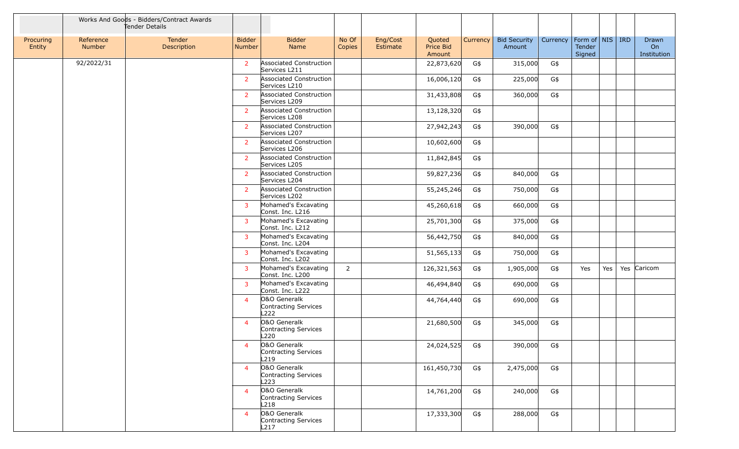|                     |                            | Works And Goods - Bidders/Contract Awards<br>Tender Details |                         |                                              |                 |                      |                               |          |                               |          |                                         |     |                                   |
|---------------------|----------------------------|-------------------------------------------------------------|-------------------------|----------------------------------------------|-----------------|----------------------|-------------------------------|----------|-------------------------------|----------|-----------------------------------------|-----|-----------------------------------|
| Procuring<br>Entity | Reference<br><b>Number</b> | Tender<br>Description                                       | <b>Bidder</b><br>Number | <b>Bidder</b><br>Name                        | No Of<br>Copies | Eng/Cost<br>Estimate | Quoted<br>Price Bid<br>Amount | Currency | <b>Bid Security</b><br>Amount | Currency | Form of   NIS   IRD<br>Tender<br>Signed |     | Drawn<br><b>On</b><br>Institution |
|                     | 92/2022/31                 |                                                             | $\overline{2}$          | Associated Construction<br>Services L211     |                 |                      | 22,873,620                    | G\$      | 315,000                       | G\$      |                                         |     |                                   |
|                     |                            |                                                             | $\overline{2}$          | Associated Construction<br>Services L210     |                 |                      | 16,006,120                    | G\$      | 225,000                       | G\$      |                                         |     |                                   |
|                     |                            |                                                             | $\overline{2}$          | Associated Construction<br>Services L209     |                 |                      | 31,433,808                    | G\$      | 360,000                       | G\$      |                                         |     |                                   |
|                     |                            |                                                             | $\overline{2}$          | Associated Construction<br>Services L208     |                 |                      | 13,128,320                    | G\$      |                               |          |                                         |     |                                   |
|                     |                            |                                                             | 2 <sup>1</sup>          | Associated Construction<br>Services L207     |                 |                      | 27,942,243                    | G\$      | 390,000                       | G\$      |                                         |     |                                   |
|                     |                            |                                                             | 2 <sup>1</sup>          | Associated Construction<br>Services L206     |                 |                      | 10,602,600                    | G\$      |                               |          |                                         |     |                                   |
|                     |                            |                                                             | $\overline{2}$          | Associated Construction<br>Services L205     |                 |                      | 11,842,845                    | G\$      |                               |          |                                         |     |                                   |
|                     |                            |                                                             | $\overline{2}$          | Associated Construction<br>Services L204     |                 |                      | 59,827,236                    | G\$      | 840,000                       | G\$      |                                         |     |                                   |
|                     |                            |                                                             | $\overline{2}$          | Associated Construction<br>Services L202     |                 |                      | 55,245,246                    | G\$      | 750,000                       | G\$      |                                         |     |                                   |
|                     |                            |                                                             | $\overline{3}$          | Mohamed's Excavating<br>Const. Inc. L216     |                 |                      | 45,260,618                    | G\$      | 660,000                       | G\$      |                                         |     |                                   |
|                     |                            |                                                             | $\overline{3}$          | Mohamed's Excavating<br>Const. Inc. L212     |                 |                      | 25,701,300                    | G\$      | 375,000                       | G\$      |                                         |     |                                   |
|                     |                            |                                                             | 3                       | Mohamed's Excavating<br>Const. Inc. L204     |                 |                      | 56,442,750                    | G\$      | 840,000                       | G\$      |                                         |     |                                   |
|                     |                            |                                                             | 3                       | Mohamed's Excavating<br>Const. Inc. L202     |                 |                      | 51,565,133                    | G\$      | 750,000                       | G\$      |                                         |     |                                   |
|                     |                            |                                                             | 3                       | Mohamed's Excavating<br>Const. Inc. L200     | $\overline{2}$  |                      | 126,321,563                   | G\$      | 1,905,000                     | G\$      | Yes                                     | Yes | Yes Caricom                       |
|                     |                            |                                                             | $\mathbf{3}$            | Mohamed's Excavating<br>Const. Inc. L222     |                 |                      | 46,494,840                    | G\$      | 690,000                       | G\$      |                                         |     |                                   |
|                     |                            |                                                             | $\overline{4}$          | O&O Generalk<br>Contracting Services<br>L222 |                 |                      | 44,764,440                    | G\$      | 690,000                       | G\$      |                                         |     |                                   |
|                     |                            |                                                             | $\overline{4}$          | O&O Generalk<br>Contracting Services<br>L220 |                 |                      | 21,680,500                    | G\$      | 345,000                       | G\$      |                                         |     |                                   |
|                     |                            |                                                             | $\overline{4}$          | O&O Generalk<br>Contracting Services<br>L219 |                 |                      | 24,024,525                    | G\$      | 390,000                       | G\$      |                                         |     |                                   |
|                     |                            |                                                             | $\overline{4}$          | O&O Generalk<br>Contracting Services<br>L223 |                 |                      | 161,450,730                   | G\$      | 2,475,000                     | G\$      |                                         |     |                                   |
|                     |                            |                                                             | $\overline{4}$          | O&O Generalk<br>Contracting Services<br>L218 |                 |                      | 14,761,200                    | G\$      | 240,000                       | G\$      |                                         |     |                                   |
|                     |                            |                                                             | $\overline{4}$          | O&O Generalk<br>Contracting Services<br>L217 |                 |                      | 17,333,300                    | G\$      | 288,000                       | G\$      |                                         |     |                                   |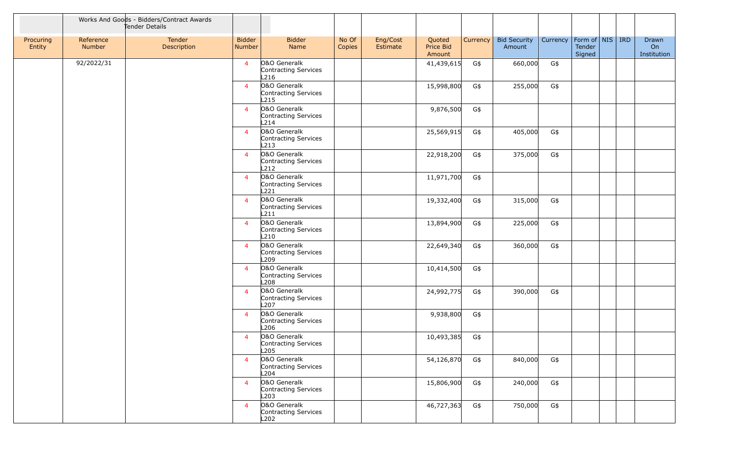|                     |                            | Works And Goods - Bidders/Contract Awards<br>Tender Details |                                |                                                          |                 |                      |                               |          |                               |                                |                  |  |                            |
|---------------------|----------------------------|-------------------------------------------------------------|--------------------------------|----------------------------------------------------------|-----------------|----------------------|-------------------------------|----------|-------------------------------|--------------------------------|------------------|--|----------------------------|
| Procuring<br>Entity | Reference<br><b>Number</b> | Tender<br>Description                                       | <b>Bidder</b><br><b>Number</b> | <b>Bidder</b><br>Name                                    | No Of<br>Copies | Eng/Cost<br>Estimate | Quoted<br>Price Bid<br>Amount | Currency | <b>Bid Security</b><br>Amount | Currency   Form of   NIS   IRD | Tender<br>Signed |  | Drawn<br>On<br>Institution |
|                     | 92/2022/31                 |                                                             | $\overline{4}$                 | O&O Generalk<br>Contracting Services<br>L216             |                 |                      | 41,439,615                    | G\$      | 660,000                       | G\$                            |                  |  |                            |
|                     |                            |                                                             | $\overline{4}$                 | 0&0 Generalk<br>Contracting Services<br>L215             |                 |                      | 15,998,800                    | G\$      | 255,000                       | G\$                            |                  |  |                            |
|                     |                            |                                                             | $\overline{4}$                 | O&O Generalk<br>Contracting Services<br>L214             |                 |                      | 9,876,500                     | G\$      |                               |                                |                  |  |                            |
|                     |                            |                                                             | $\overline{4}$                 | O&O Generalk<br>Contracting Services<br>L213             |                 |                      | 25,569,915                    | G\$      | 405,000                       | G\$                            |                  |  |                            |
|                     |                            |                                                             | $\overline{4}$                 | O&O Generalk<br>Contracting Services<br>L212             |                 |                      | 22,918,200                    | G\$      | 375,000                       | G\$                            |                  |  |                            |
|                     |                            |                                                             | $\overline{4}$                 | O&O Generalk<br>Contracting Services<br>L221             |                 |                      | 11,971,700                    | G\$      |                               |                                |                  |  |                            |
|                     |                            |                                                             | $\overline{4}$                 | 0&0 Generalk<br>Contracting Services<br>L211             |                 |                      | 19,332,400                    | G\$      | 315,000                       | G\$                            |                  |  |                            |
|                     |                            |                                                             | $\overline{4}$                 | O&O Generalk<br>Contracting Services<br>L210             |                 |                      | 13,894,900                    | G\$      | 225,000                       | G\$                            |                  |  |                            |
|                     |                            |                                                             | $\overline{4}$                 | O&O Generalk<br>Contracting Services<br>L <sub>209</sub> |                 |                      | 22,649,340                    | G\$      | 360,000                       | G\$                            |                  |  |                            |
|                     |                            |                                                             | $\overline{4}$                 | O&O Generalk<br>Contracting Services<br>L208             |                 |                      | 10,414,500                    | G\$      |                               |                                |                  |  |                            |
|                     |                            |                                                             | $\overline{4}$                 | O&O Generalk<br>Contracting Services<br>L <sub>207</sub> |                 |                      | 24,992,775                    | G\$      | 390,000                       | G\$                            |                  |  |                            |
|                     |                            |                                                             | $\overline{4}$                 | 0&0 Generalk<br>Contracting Services<br>L206             |                 |                      | 9,938,800                     | G\$      |                               |                                |                  |  |                            |
|                     |                            |                                                             | $\overline{4}$                 | O&O Generalk<br>Contracting Services<br>L205             |                 |                      | 10,493,385                    | G\$      |                               |                                |                  |  |                            |
|                     |                            |                                                             | $\overline{4}$                 | O&O Generalk<br>Contracting Services<br>L204             |                 |                      | 54,126,870                    | G\$      | 840,000                       | G\$                            |                  |  |                            |
|                     |                            |                                                             | $\overline{4}$                 | O&O Generalk<br>Contracting Services<br>L203             |                 |                      | 15,806,900                    | G\$      | 240,000                       | G\$                            |                  |  |                            |
|                     |                            |                                                             | $\overline{4}$                 | O&O Generalk<br>Contracting Services<br>L202             |                 |                      | 46,727,363                    | G\$      | 750,000                       | G\$                            |                  |  |                            |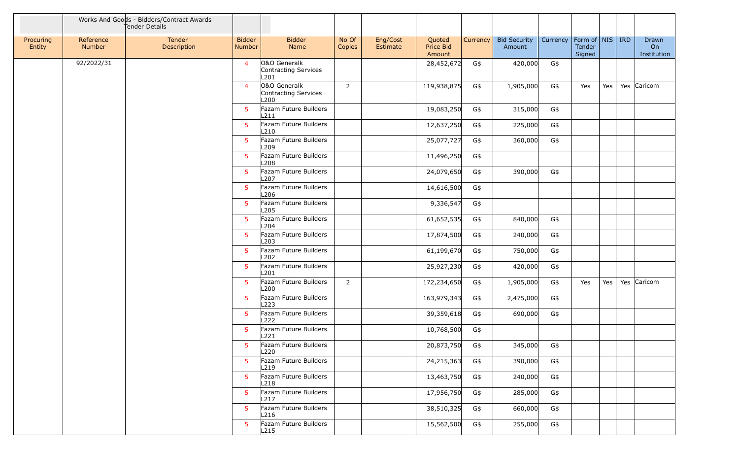|                     |                     | Works And Goods - Bidders/Contract Awards<br>Tender Details |                         |                                              |                 |                      |                               |          |                               |          |                                       |     |                            |
|---------------------|---------------------|-------------------------------------------------------------|-------------------------|----------------------------------------------|-----------------|----------------------|-------------------------------|----------|-------------------------------|----------|---------------------------------------|-----|----------------------------|
| Procuring<br>Entity | Reference<br>Number | Tender<br>Description                                       | <b>Bidder</b><br>Number | <b>Bidder</b><br>Name                        | No Of<br>Copies | Eng/Cost<br>Estimate | Quoted<br>Price Bid<br>Amount | Currency | <b>Bid Security</b><br>Amount | Currency | Form of NIS   IRD<br>Tender<br>Signed |     | Drawn<br>On<br>Institution |
|                     | 92/2022/31          |                                                             | $\overline{4}$          | O&O Generalk<br>Contracting Services<br>L201 |                 |                      | 28,452,672                    | G\$      | 420,000                       | G\$      |                                       |     |                            |
|                     |                     |                                                             | $\overline{4}$          | O&O Generalk<br>Contracting Services<br>L200 | $\overline{2}$  |                      | 119,938,875                   | G\$      | 1,905,000                     | G\$      | Yes                                   | Yes | Yes Caricom                |
|                     |                     |                                                             | 5 <sup>1</sup>          | Fazam Future Builders<br>L211                |                 |                      | 19,083,250                    | G\$      | 315,000                       | G\$      |                                       |     |                            |
|                     |                     |                                                             | 5 <sup>5</sup>          | Fazam Future Builders<br>L210                |                 |                      | 12,637,250                    | G\$      | 225,000                       | G\$      |                                       |     |                            |
|                     |                     |                                                             | 5                       | Fazam Future Builders<br>L <sub>209</sub>    |                 |                      | 25,077,727                    | G\$      | 360,000                       | G\$      |                                       |     |                            |
|                     |                     |                                                             | 5 <sub>5</sub>          | Fazam Future Builders<br>L <sub>208</sub>    |                 |                      | 11,496,250                    | G\$      |                               |          |                                       |     |                            |
|                     |                     |                                                             | $5\phantom{.0}$         | Fazam Future Builders<br>L207                |                 |                      | 24,079,650                    | G\$      | 390,000                       | G\$      |                                       |     |                            |
|                     |                     |                                                             | 5 <sup>1</sup>          | Fazam Future Builders<br>L206                |                 |                      | 14,616,500                    | G\$      |                               |          |                                       |     |                            |
|                     |                     |                                                             | 5 <sup>1</sup>          | Fazam Future Builders<br>L <sub>205</sub>    |                 |                      | 9,336,547                     | G\$      |                               |          |                                       |     |                            |
|                     |                     |                                                             | 5                       | Fazam Future Builders<br>L204                |                 |                      | 61,652,535                    | G\$      | 840,000                       | G\$      |                                       |     |                            |
|                     |                     |                                                             | $5^{\circ}$             | Fazam Future Builders<br>L <sub>203</sub>    |                 |                      | 17,874,500                    | G\$      | 240,000                       | G\$      |                                       |     |                            |
|                     |                     |                                                             | $5\phantom{.0}$         | Fazam Future Builders<br>L202                |                 |                      | 61,199,670                    | G\$      | 750,000                       | G\$      |                                       |     |                            |
|                     |                     |                                                             | 5 <sup>1</sup>          | Fazam Future Builders<br>L201                |                 |                      | 25,927,230                    | G\$      | 420,000                       | G\$      |                                       |     |                            |
|                     |                     |                                                             | 5 <sup>1</sup>          | Fazam Future Builders<br>L <sub>200</sub>    | 2               |                      | 172,234,650                   | G\$      | 1,905,000                     | G\$      | Yes                                   | Yes | Yes Caricom                |
|                     |                     |                                                             | 5                       | Fazam Future Builders<br>L <sub>223</sub>    |                 |                      | 163,979,343                   | G\$      | 2,475,000                     | G\$      |                                       |     |                            |
|                     |                     |                                                             | $5^{\circ}$             | Fazam Future Builders<br>L222                |                 |                      | 39,359,618                    | G\$      | 690,000                       | G\$      |                                       |     |                            |
|                     |                     |                                                             | $5^{\circ}$             | Fazam Future Builders<br>L221                |                 |                      | 10,768,500                    | G\$      |                               |          |                                       |     |                            |
|                     |                     |                                                             | 5                       | Fazam Future Builders<br>L220                |                 |                      | 20,873,750                    | G\$      | 345,000                       | G\$      |                                       |     |                            |
|                     |                     |                                                             | 5                       | Fazam Future Builders<br>L <sub>219</sub>    |                 |                      | 24,215,363                    | G\$      | 390,000                       | G\$      |                                       |     |                            |
|                     |                     |                                                             | 5 <sup>1</sup>          | Fazam Future Builders<br>L218                |                 |                      | 13,463,750                    | G\$      | 240,000                       | G\$      |                                       |     |                            |
|                     |                     |                                                             | $5^{\circ}$             | Fazam Future Builders<br>L217                |                 |                      | 17,956,750                    | G\$      | 285,000                       | G\$      |                                       |     |                            |
|                     |                     |                                                             | 5                       | Fazam Future Builders<br>L216                |                 |                      | 38,510,325                    | G\$      | 660,000                       | G\$      |                                       |     |                            |
|                     |                     |                                                             | 5 <sup>5</sup>          | Fazam Future Builders<br>L215                |                 |                      | 15,562,500                    | G\$      | 255,000                       | G\$      |                                       |     |                            |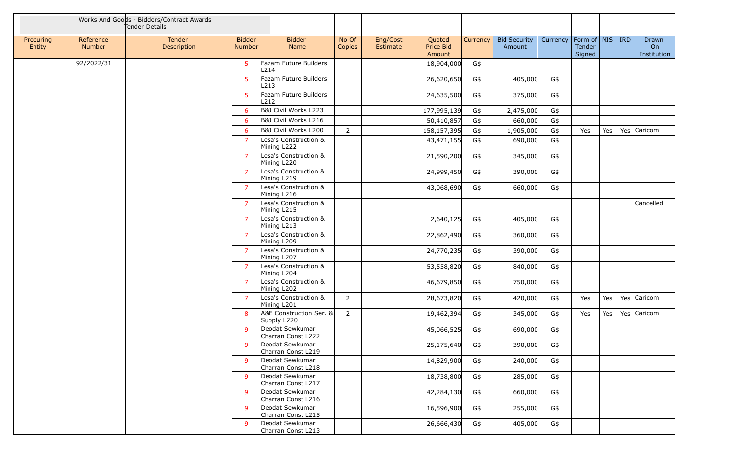|                     |                     | Works And Goods - Bidders/Contract Awards<br>Tender Details |                         |                                        |                 |                      |                               |          |                               |          |                                         |     |                                   |
|---------------------|---------------------|-------------------------------------------------------------|-------------------------|----------------------------------------|-----------------|----------------------|-------------------------------|----------|-------------------------------|----------|-----------------------------------------|-----|-----------------------------------|
| Procuring<br>Entity | Reference<br>Number | Tender<br>Description                                       | <b>Bidder</b><br>Number | <b>Bidder</b><br>Name                  | No Of<br>Copies | Eng/Cost<br>Estimate | Quoted<br>Price Bid<br>Amount | Currency | <b>Bid Security</b><br>Amount | Currency | Form of   NIS   IRD<br>Tender<br>Signed |     | Drawn<br><b>On</b><br>Institution |
|                     | 92/2022/31          |                                                             | 5                       | Fazam Future Builders<br>L214          |                 |                      | 18,904,000                    | G\$      |                               |          |                                         |     |                                   |
|                     |                     |                                                             | $5\phantom{.0}$         | Fazam Future Builders<br>L213          |                 |                      | 26,620,650                    | G\$      | 405,000                       | G\$      |                                         |     |                                   |
|                     |                     |                                                             | 5                       | Fazam Future Builders<br>L212          |                 |                      | 24,635,500                    | G\$      | 375,000                       | G\$      |                                         |     |                                   |
|                     |                     |                                                             | 6                       | B&J Civil Works L223                   |                 |                      | 177,995,139                   | G\$      | 2,475,000                     | G\$      |                                         |     |                                   |
|                     |                     |                                                             | 6                       | B&J Civil Works L216                   |                 |                      | 50,410,857                    | G\$      | 660,000                       | G\$      |                                         |     |                                   |
|                     |                     |                                                             | 6                       | B&J Civil Works L200                   | $\overline{2}$  |                      | 158,157,395                   | G\$      | 1,905,000                     | G\$      | Yes                                     | Yes | Yes Caricom                       |
|                     |                     |                                                             | $\overline{7}$          | Lesa's Construction &<br>Mining L222   |                 |                      | 43,471,155                    | G\$      | 690,000                       | G\$      |                                         |     |                                   |
|                     |                     |                                                             | $\overline{7}$          | Lesa's Construction &<br>Mining L220   |                 |                      | 21,590,200                    | G\$      | 345,000                       | G\$      |                                         |     |                                   |
|                     |                     |                                                             | $\overline{7}$          | Lesa's Construction &<br>Mining L219   |                 |                      | 24,999,450                    | G\$      | 390,000                       | G\$      |                                         |     |                                   |
|                     |                     |                                                             | $\overline{7}$          | Lesa's Construction &<br>Mining L216   |                 |                      | 43,068,690                    | G\$      | 660,000                       | G\$      |                                         |     |                                   |
|                     |                     |                                                             | $\overline{7}$          | Lesa's Construction &<br>Mining L215   |                 |                      |                               |          |                               |          |                                         |     | Cancelled                         |
|                     |                     |                                                             | $\overline{7}$          | Lesa's Construction &<br>Mining L213   |                 |                      | 2,640,125                     | G\$      | 405,000                       | G\$      |                                         |     |                                   |
|                     |                     |                                                             | $\overline{7}$          | Lesa's Construction &<br>Mining L209   |                 |                      | 22,862,490                    | G\$      | 360,000                       | G\$      |                                         |     |                                   |
|                     |                     |                                                             | $\overline{7}$          | Lesa's Construction &<br>Mining L207   |                 |                      | 24,770,235                    | G\$      | 390,000                       | G\$      |                                         |     |                                   |
|                     |                     |                                                             | $\overline{7}$          | Lesa's Construction &<br>Mining L204   |                 |                      | 53,558,820                    | G\$      | 840,000                       | G\$      |                                         |     |                                   |
|                     |                     |                                                             | $\overline{7}$          | Lesa's Construction &<br>Mining L202   |                 |                      | 46,679,850                    | G\$      | 750,000                       | G\$      |                                         |     |                                   |
|                     |                     |                                                             | $\overline{7}$          | Lesa's Construction &<br>Mining L201   | $\overline{2}$  |                      | 28,673,820                    | G\$      | 420,000                       | G\$      | Yes                                     | Yes | Yes Caricom                       |
|                     |                     |                                                             | 8                       | A&E Construction Ser. &<br>Supply L220 | $\overline{2}$  |                      | 19,462,394                    | G\$      | 345,000                       | G\$      | Yes                                     | Yes | Yes Caricom                       |
|                     |                     |                                                             | 9                       | Deodat Sewkumar<br>Charran Const L222  |                 |                      | 45,066,525                    | G\$      | 690,000                       | G\$      |                                         |     |                                   |
|                     |                     |                                                             | 9                       | Deodat Sewkumar<br>Charran Const L219  |                 |                      | 25,175,640                    | G\$      | 390,000                       | G\$      |                                         |     |                                   |
|                     |                     |                                                             | 9                       | Deodat Sewkumar<br>Charran Const L218  |                 |                      | 14,829,900                    | G\$      | 240,000                       | G\$      |                                         |     |                                   |
|                     |                     |                                                             | 9                       | Deodat Sewkumar<br>Charran Const L217  |                 |                      | 18,738,800                    | G\$      | 285,000                       | G\$      |                                         |     |                                   |
|                     |                     |                                                             | 9                       | Deodat Sewkumar<br>Charran Const L216  |                 |                      | 42,284,130                    | G\$      | 660,000                       | G\$      |                                         |     |                                   |
|                     |                     |                                                             | 9                       | Deodat Sewkumar<br>Charran Const L215  |                 |                      | 16,596,900                    | G\$      | 255,000                       | G\$      |                                         |     |                                   |
|                     |                     |                                                             | 9                       | Deodat Sewkumar<br>Charran Const L213  |                 |                      | 26,666,430                    | G\$      | 405,000                       | G\$      |                                         |     |                                   |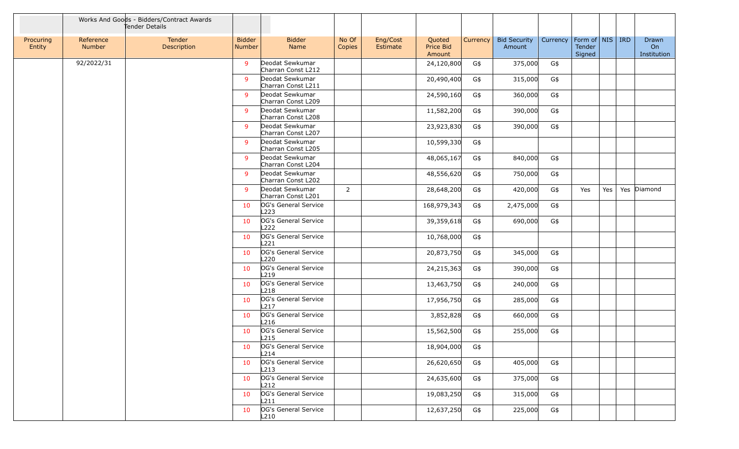|                     |                     | Works And Goods - Bidders/Contract Awards<br>Tender Details |                                |                                          |                 |                      |                               |          |                               |                                |                  |     |                            |
|---------------------|---------------------|-------------------------------------------------------------|--------------------------------|------------------------------------------|-----------------|----------------------|-------------------------------|----------|-------------------------------|--------------------------------|------------------|-----|----------------------------|
| Procuring<br>Entity | Reference<br>Number | Tender<br>Description                                       | <b>Bidder</b><br><b>Number</b> | <b>Bidder</b><br>Name                    | No Of<br>Copies | Eng/Cost<br>Estimate | Quoted<br>Price Bid<br>Amount | Currency | <b>Bid Security</b><br>Amount | Currency   Form of   NIS   IRD | Tender<br>Signed |     | Drawn<br>On<br>Institution |
|                     | 92/2022/31          |                                                             | 9                              | Deodat Sewkumar<br>Charran Const L212    |                 |                      | 24,120,800                    | G\$      | 375,000                       | G\$                            |                  |     |                            |
|                     |                     |                                                             | 9                              | Deodat Sewkumar<br>Charran Const L211    |                 |                      | 20,490,400                    | G\$      | 315,000                       | G\$                            |                  |     |                            |
|                     |                     |                                                             | 9                              | Deodat Sewkumar<br>Charran Const L209    |                 |                      | 24,590,160                    | G\$      | 360,000                       | G\$                            |                  |     |                            |
|                     |                     |                                                             | 9                              | Deodat Sewkumar<br>Charran Const L208    |                 |                      | 11,582,200                    | G\$      | 390,000                       | G\$                            |                  |     |                            |
|                     |                     |                                                             | 9                              | Deodat Sewkumar<br>Charran Const L207    |                 |                      | 23,923,830                    | G\$      | 390,000                       | G\$                            |                  |     |                            |
|                     |                     |                                                             | 9                              | Deodat Sewkumar<br>Charran Const L205    |                 |                      | 10,599,330                    | G\$      |                               |                                |                  |     |                            |
|                     |                     |                                                             | 9                              | Deodat Sewkumar<br>Charran Const L204    |                 |                      | 48,065,167                    | G\$      | 840,000                       | G\$                            |                  |     |                            |
|                     |                     |                                                             | 9                              | Deodat Sewkumar<br>Charran Const L202    |                 |                      | 48,556,620                    | G\$      | 750,000                       | G\$                            |                  |     |                            |
|                     |                     |                                                             | 9                              | Deodat Sewkumar<br>Charran Const L201    | 2               |                      | 28,648,200                    | G\$      | 420,000                       | G\$                            | Yes              | Yes | Yes Diamond                |
|                     |                     |                                                             | 10                             | OG's General Service<br>L223             |                 |                      | 168,979,343                   | G\$      | 2,475,000                     | G\$                            |                  |     |                            |
|                     |                     |                                                             | 10                             | OG's General Service<br>L <sub>222</sub> |                 |                      | 39,359,618                    | G\$      | 690,000                       | G\$                            |                  |     |                            |
|                     |                     |                                                             | 10                             | OG's General Service<br>L221             |                 |                      | 10,768,000                    | G\$      |                               |                                |                  |     |                            |
|                     |                     |                                                             | 10                             | OG's General Service<br>L <sub>220</sub> |                 |                      | 20,873,750                    | G\$      | 345,000                       | G\$                            |                  |     |                            |
|                     |                     |                                                             | 10                             | OG's General Service<br>L <sub>219</sub> |                 |                      | 24,215,363                    | G\$      | 390,000                       | G\$                            |                  |     |                            |
|                     |                     |                                                             | 10                             | OG's General Service<br>L <sub>218</sub> |                 |                      | 13,463,750                    | G\$      | 240,000                       | G\$                            |                  |     |                            |
|                     |                     |                                                             | 10                             | OG's General Service<br>L217             |                 |                      | 17,956,750                    | G\$      | 285,000                       | G\$                            |                  |     |                            |
|                     |                     |                                                             | 10                             | OG's General Service<br>L216             |                 |                      | 3,852,828                     | G\$      | 660,000                       | G\$                            |                  |     |                            |
|                     |                     |                                                             | 10                             | OG's General Service<br>L <sub>215</sub> |                 |                      | 15,562,500                    | G\$      | 255,000                       | G\$                            |                  |     |                            |
|                     |                     |                                                             | 10                             | OG's General Service<br>L214             |                 |                      | 18,904,000                    | G\$      |                               |                                |                  |     |                            |
|                     |                     |                                                             | 10                             | OG's General Service<br>L213             |                 |                      | 26,620,650                    | G\$      | 405,000                       | G\$                            |                  |     |                            |
|                     |                     |                                                             | 10                             | OG's General Service<br>L212             |                 |                      | 24,635,600                    | G\$      | 375,000                       | G\$                            |                  |     |                            |
|                     |                     |                                                             | 10                             | OG's General Service<br>L211             |                 |                      | 19,083,250                    | G\$      | 315,000                       | G\$                            |                  |     |                            |
|                     |                     |                                                             | 10                             | OG's General Service<br>L210             |                 |                      | 12,637,250                    | G\$      | 225,000                       | G\$                            |                  |     |                            |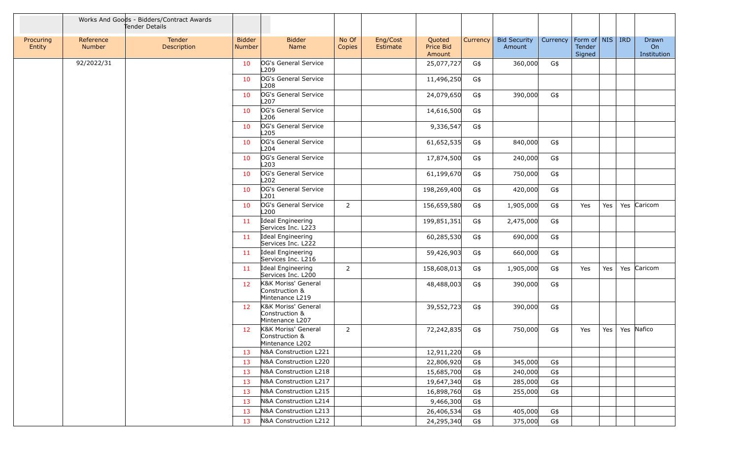|                     |                            | Works And Goods - Bidders/Contract Awards<br>Tender Details |                                |                                                          |                 |                      |                               |          |                               |                 |                                                 |     |                                   |
|---------------------|----------------------------|-------------------------------------------------------------|--------------------------------|----------------------------------------------------------|-----------------|----------------------|-------------------------------|----------|-------------------------------|-----------------|-------------------------------------------------|-----|-----------------------------------|
| Procuring<br>Entity | Reference<br><b>Number</b> | Tender<br>Description                                       | <b>Bidder</b><br><b>Number</b> | <b>Bidder</b><br>Name                                    | No Of<br>Copies | Eng/Cost<br>Estimate | Quoted<br>Price Bid<br>Amount | Currency | <b>Bid Security</b><br>Amount | <b>Currency</b> | $ $ Form of $ $ NIS $ $ IRD<br>Tender<br>Signed |     | <b>Drawn</b><br>On<br>Institution |
|                     | 92/2022/31                 |                                                             | 10                             | OG's General Service<br>L209                             |                 |                      | 25,077,727                    | G\$      | 360,000                       | G\$             |                                                 |     |                                   |
|                     |                            |                                                             | 10                             | OG's General Service<br>L208                             |                 |                      | 11,496,250                    | G\$      |                               |                 |                                                 |     |                                   |
|                     |                            |                                                             | 10                             | OG's General Service<br>L <sub>207</sub>                 |                 |                      | 24,079,650                    | G\$      | 390,000                       | G\$             |                                                 |     |                                   |
|                     |                            |                                                             | 10                             | OG's General Service<br>L <sub>206</sub>                 |                 |                      | 14,616,500                    | G\$      |                               |                 |                                                 |     |                                   |
|                     |                            |                                                             | 10                             | OG's General Service<br>L <sub>205</sub>                 |                 |                      | 9,336,547                     | G\$      |                               |                 |                                                 |     |                                   |
|                     |                            |                                                             | 10                             | OG's General Service<br>L204                             |                 |                      | 61,652,535                    | G\$      | 840,000                       | G\$             |                                                 |     |                                   |
|                     |                            |                                                             | 10                             | OG's General Service<br>L203                             |                 |                      | 17,874,500                    | G\$      | 240,000                       | G\$             |                                                 |     |                                   |
|                     |                            |                                                             | 10                             | OG's General Service<br>L <sub>202</sub>                 |                 |                      | 61,199,670                    | G\$      | 750,000                       | G\$             |                                                 |     |                                   |
|                     |                            |                                                             | 10                             | OG's General Service<br>L201                             |                 |                      | 198,269,400                   | G\$      | 420,000                       | G\$             |                                                 |     |                                   |
|                     |                            |                                                             | 10                             | OG's General Service<br>L200                             | $\overline{2}$  |                      | 156,659,580                   | G\$      | 1,905,000                     | G\$             | Yes                                             | Yes | Yes Caricom                       |
|                     |                            |                                                             | 11                             | Ideal Engineering<br>Services Inc. L223                  |                 |                      | 199,851,351                   | G\$      | 2,475,000                     | G\$             |                                                 |     |                                   |
|                     |                            |                                                             | 11                             | Ideal Engineering<br>Services Inc. L222                  |                 |                      | 60,285,530                    | G\$      | 690,000                       | G\$             |                                                 |     |                                   |
|                     |                            |                                                             | 11                             | Ideal Engineering                                        |                 |                      | 59,426,903                    | G\$      | 660,000                       | G\$             |                                                 |     |                                   |
|                     |                            |                                                             | 11                             | Services Inc. L216<br>Ideal Engineering                  | 2               |                      | 158,608,013                   | G\$      | 1,905,000                     | G\$             | Yes                                             | Yes | Yes Caricom                       |
|                     |                            |                                                             | 12                             | Services Inc. L200<br>K&K Moriss' General                |                 |                      | 48,488,003                    | G\$      | 390,000                       | G\$             |                                                 |     |                                   |
|                     |                            |                                                             |                                | Construction &<br>Mintenance L219                        |                 |                      |                               |          |                               |                 |                                                 |     |                                   |
|                     |                            |                                                             | 12                             | K&K Moriss' General<br>Construction &<br>Mintenance L207 |                 |                      | 39,552,723                    | G\$      | 390,000                       | G\$             |                                                 |     |                                   |
|                     |                            |                                                             | 12                             | K&K Moriss' General<br>Construction &<br>Mintenance L202 | 2               |                      | 72,242,835                    | G\$      | 750,000                       | G\$             | Yes                                             | Yes | Yes Nafico                        |
|                     |                            |                                                             | 13                             | N&A Construction L221                                    |                 |                      | 12,911,220                    | G\$      |                               |                 |                                                 |     |                                   |
|                     |                            |                                                             | 13                             | N&A Construction L220                                    |                 |                      | 22,806,920                    | G\$      | 345,000                       | G\$             |                                                 |     |                                   |
|                     |                            |                                                             | 13                             | N&A Construction L218                                    |                 |                      | 15,685,700                    | G\$      | 240,000                       | G\$             |                                                 |     |                                   |
|                     |                            |                                                             | 13                             | N&A Construction L217                                    |                 |                      | 19,647,340                    | G\$      | 285,000                       | G\$             |                                                 |     |                                   |
|                     |                            |                                                             | 13                             | N&A Construction L215                                    |                 |                      | 16,898,760                    | G\$      | 255,000                       | G\$             |                                                 |     |                                   |
|                     |                            |                                                             | 13                             | N&A Construction L214                                    |                 |                      | 9,466,300                     | G\$      |                               |                 |                                                 |     |                                   |
|                     |                            |                                                             | 13                             | N&A Construction L213                                    |                 |                      | 26,406,534                    | G\$      | 405,000                       | G\$             |                                                 |     |                                   |
|                     |                            |                                                             | 13                             | N&A Construction L212                                    |                 |                      | 24,295,340                    | G\$      | 375,000                       | G\$             |                                                 |     |                                   |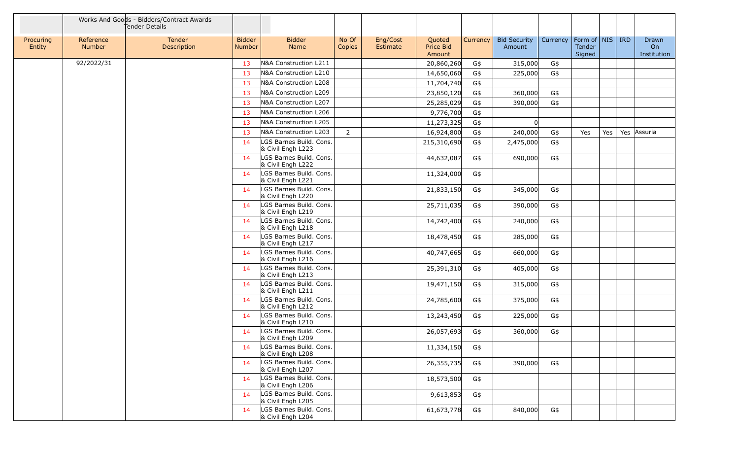|                     |                            | Works And Goods - Bidders/Contract Awards<br>Tender Details |                                |                                              |                 |                                                       |          |                               |                                |                  |     |                            |
|---------------------|----------------------------|-------------------------------------------------------------|--------------------------------|----------------------------------------------|-----------------|-------------------------------------------------------|----------|-------------------------------|--------------------------------|------------------|-----|----------------------------|
| Procuring<br>Entity | Reference<br><b>Number</b> | Tender<br>Description                                       | <b>Bidder</b><br><b>Number</b> | <b>Bidder</b><br>Name                        | No Of<br>Copies | Eng/Cost<br>Quoted<br>Price Bid<br>Estimate<br>Amount | Currency | <b>Bid Security</b><br>Amount | Currency   Form of   NIS   IRD | Tender<br>Signed |     | Drawn<br>On<br>Institution |
|                     | 92/2022/31                 |                                                             | 13                             | N&A Construction L211                        |                 | 20,860,260                                            | G\$      | 315,000                       | G\$                            |                  |     |                            |
|                     |                            |                                                             | 13                             | N&A Construction L210                        |                 | 14,650,060                                            | G\$      | 225,000                       | G\$                            |                  |     |                            |
|                     |                            |                                                             | 13                             | N&A Construction L208                        |                 | 11,704,740                                            | G\$      |                               |                                |                  |     |                            |
|                     |                            |                                                             | 13                             | N&A Construction L209                        |                 | 23,850,120                                            | G\$      | 360,000                       | G\$                            |                  |     |                            |
|                     |                            |                                                             | 13                             | N&A Construction L207                        |                 | 25,285,029                                            | G\$      | 390,000                       | G\$                            |                  |     |                            |
|                     |                            |                                                             | 13                             | N&A Construction L206                        |                 | 9,776,700                                             | G\$      |                               |                                |                  |     |                            |
|                     |                            |                                                             | 13                             | N&A Construction L205                        |                 | 11,273,325                                            | G\$      | n                             |                                |                  |     |                            |
|                     |                            |                                                             | 13                             | N&A Construction L203                        | $\overline{2}$  | 16,924,800                                            | G\$      | 240,000                       | G\$                            | Yes              | Yes | Yes Assuria                |
|                     |                            |                                                             | 14                             | LGS Barnes Build. Cons.<br>& Civil Engh L223 |                 | 215,310,690                                           | G\$      | 2,475,000                     | G\$                            |                  |     |                            |
|                     |                            |                                                             | 14                             | LGS Barnes Build. Cons.<br>& Civil Engh L222 |                 | 44,632,087                                            | G\$      | 690,000                       | G\$                            |                  |     |                            |
|                     |                            |                                                             | 14                             | LGS Barnes Build. Cons.<br>& Civil Engh L221 |                 | 11,324,000                                            | G\$      |                               |                                |                  |     |                            |
|                     |                            |                                                             | 14                             | LGS Barnes Build. Cons.<br>& Civil Engh L220 |                 | 21,833,150                                            | G\$      | 345,000                       | G\$                            |                  |     |                            |
|                     |                            |                                                             | 14                             | LGS Barnes Build. Cons.<br>& Civil Engh L219 |                 | 25,711,035                                            | G\$      | 390,000                       | G\$                            |                  |     |                            |
|                     |                            |                                                             | 14                             | LGS Barnes Build. Cons.<br>& Civil Engh L218 |                 | 14,742,400                                            | G\$      | 240,000                       | G\$                            |                  |     |                            |
|                     |                            |                                                             | 14                             | LGS Barnes Build. Cons.<br>& Civil Engh L217 |                 | 18,478,450                                            | G\$      | 285,000                       | G\$                            |                  |     |                            |
|                     |                            |                                                             | 14                             | LGS Barnes Build. Cons.<br>& Civil Engh L216 |                 | 40,747,665                                            | G\$      | 660,000                       | G\$                            |                  |     |                            |
|                     |                            |                                                             | 14                             | LGS Barnes Build. Cons.<br>& Civil Engh L213 |                 | 25,391,310                                            | G\$      | 405,000                       | G\$                            |                  |     |                            |
|                     |                            |                                                             | 14                             | LGS Barnes Build. Cons.<br>& Civil Engh L211 |                 | 19,471,150                                            | G\$      | 315,000                       | G\$                            |                  |     |                            |
|                     |                            |                                                             | 14                             | LGS Barnes Build. Cons.<br>& Civil Engh L212 |                 | 24,785,600                                            | G\$      | 375,000                       | G\$                            |                  |     |                            |
|                     |                            |                                                             | 14                             | LGS Barnes Build. Cons.<br>& Civil Engh L210 |                 | 13,243,450                                            | G\$      | 225,000                       | G\$                            |                  |     |                            |
|                     |                            |                                                             | 14                             | LGS Barnes Build. Cons.<br>& Civil Engh L209 |                 | 26,057,693                                            | G\$      | 360,000                       | G\$                            |                  |     |                            |
|                     |                            |                                                             | 14                             | LGS Barnes Build. Cons.<br>& Civil Engh L208 |                 | 11,334,150                                            | G\$      |                               |                                |                  |     |                            |
|                     |                            |                                                             | 14                             | LGS Barnes Build. Cons.<br>& Civil Engh L207 |                 | 26,355,735                                            | G\$      | 390,000                       | G\$                            |                  |     |                            |
|                     |                            |                                                             | 14                             | LGS Barnes Build. Cons.<br>& Civil Engh L206 |                 | 18,573,500                                            | G\$      |                               |                                |                  |     |                            |
|                     |                            |                                                             | 14                             | LGS Barnes Build. Cons.<br>& Civil Engh L205 |                 | 9,613,853                                             | G\$      |                               |                                |                  |     |                            |
|                     |                            |                                                             | 14                             | LGS Barnes Build. Cons.<br>& Civil Engh L204 |                 | 61,673,778                                            | G\$      | 840,000                       | G\$                            |                  |     |                            |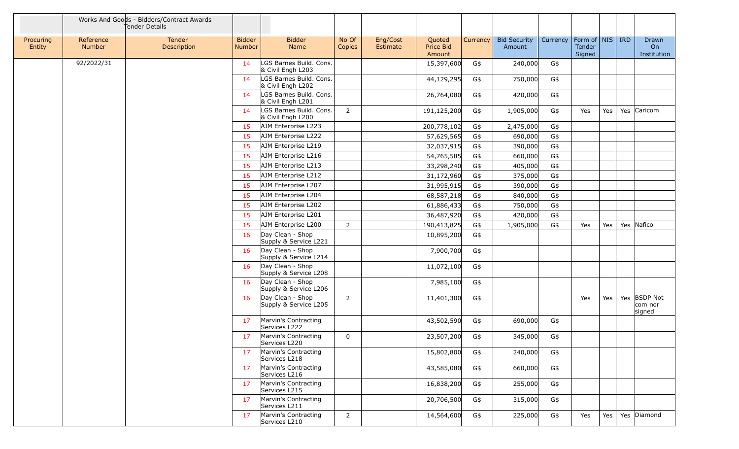|                     |                     | Works And Goods - Bidders/Contract Awards<br>Tender Details |                         |                                              |                 |                      |                               |          |                               |          |                                         |     |                                               |
|---------------------|---------------------|-------------------------------------------------------------|-------------------------|----------------------------------------------|-----------------|----------------------|-------------------------------|----------|-------------------------------|----------|-----------------------------------------|-----|-----------------------------------------------|
| Procuring<br>Entity | Reference<br>Number | Tender<br>Description                                       | <b>Bidder</b><br>Number | <b>Bidder</b><br>Name                        | No Of<br>Copies | Eng/Cost<br>Estimate | Quoted<br>Price Bid<br>Amount | Currency | <b>Bid Security</b><br>Amount | Currency | Form of   NIS   IRD<br>Tender<br>Signed |     | <b>Drawn</b><br>O <sub>n</sub><br>Institution |
|                     | 92/2022/31          |                                                             | 14                      | LGS Barnes Build. Cons.<br>& Civil Engh L203 |                 |                      | 15,397,600                    | G\$      | 240,000                       | G\$      |                                         |     |                                               |
|                     |                     |                                                             | 14                      | LGS Barnes Build. Cons.<br>& Civil Engh L202 |                 |                      | 44,129,295                    | G\$      | 750,000                       | G\$      |                                         |     |                                               |
|                     |                     |                                                             | 14                      | LGS Barnes Build. Cons.<br>& Civil Engh L201 |                 |                      | 26,764,080                    | G\$      | 420,000                       | G\$      |                                         |     |                                               |
|                     |                     |                                                             | 14                      | LGS Barnes Build. Cons.<br>& Civil Engh L200 | 2               |                      | 191,125,200                   | G\$      | 1,905,000                     | G\$      | Yes                                     | Yes | Yes Caricom                                   |
|                     |                     |                                                             | 15                      | AJM Enterprise L223                          |                 |                      | 200,778,102                   | G\$      | 2,475,000                     | G\$      |                                         |     |                                               |
|                     |                     |                                                             | 15                      | AJM Enterprise L222                          |                 |                      | 57,629,565                    | G\$      | 690,000                       | G\$      |                                         |     |                                               |
|                     |                     |                                                             | 15                      | AJM Enterprise L219                          |                 |                      | 32,037,915                    | G\$      | 390,000                       | G\$      |                                         |     |                                               |
|                     |                     |                                                             | 15                      | AJM Enterprise L216                          |                 |                      | 54,765,585                    | G\$      | 660,000                       | G\$      |                                         |     |                                               |
|                     |                     |                                                             | 15                      | AJM Enterprise L213                          |                 |                      | 33,298,240                    | G\$      | 405,000                       | G\$      |                                         |     |                                               |
|                     |                     |                                                             | 15                      | AJM Enterprise L212                          |                 |                      | 31,172,960                    | G\$      | 375,000                       | G\$      |                                         |     |                                               |
|                     |                     |                                                             | 15                      | AJM Enterprise L207                          |                 |                      | 31,995,915                    | G\$      | 390,000                       | G\$      |                                         |     |                                               |
|                     |                     |                                                             | 15                      | AJM Enterprise L204                          |                 |                      | 68,587,218                    | G\$      | 840,000                       | G\$      |                                         |     |                                               |
|                     |                     |                                                             | 15                      | AJM Enterprise L202                          |                 |                      | 61,886,433                    | G\$      | 750,000                       | G\$      |                                         |     |                                               |
|                     |                     |                                                             | 15                      | AJM Enterprise L201                          |                 |                      | 36,487,920                    | G\$      | 420,000                       | G\$      |                                         |     |                                               |
|                     |                     |                                                             | 15                      | AJM Enterprise L200                          | $\overline{2}$  |                      | 190,413,825                   | G\$      | 1,905,000                     | G\$      | Yes                                     | Yes | Yes Nafico                                    |
|                     |                     |                                                             | 16                      | Day Clean - Shop<br>Supply & Service L221    |                 |                      | 10,895,200                    | G\$      |                               |          |                                         |     |                                               |
|                     |                     |                                                             | 16                      | Day Clean - Shop<br>Supply & Service L214    |                 |                      | 7,900,700                     | G\$      |                               |          |                                         |     |                                               |
|                     |                     |                                                             | 16                      | Day Clean - Shop<br>Supply & Service L208    |                 |                      | 11,072,100                    | G\$      |                               |          |                                         |     |                                               |
|                     |                     |                                                             | 16                      | Day Clean - Shop<br>Supply & Service L206    |                 |                      | 7,985,100                     | G\$      |                               |          |                                         |     |                                               |
|                     |                     |                                                             | 16                      | Day Clean - Shop<br>Supply & Service L205    | $\overline{2}$  |                      | 11,401,300                    | G\$      |                               |          | Yes                                     | Yes | Yes BSDP Not<br>com nor<br>signed             |
|                     |                     |                                                             | 17                      | Marvin's Contracting<br>Services L222        |                 |                      | 43,502,590                    | G\$      | 690,000                       | G\$      |                                         |     |                                               |
|                     |                     |                                                             | 17                      | Marvin's Contracting<br>Services L220        | 0               |                      | 23,507,200                    | G\$      | 345,000                       | G\$      |                                         |     |                                               |
|                     |                     |                                                             | 17                      | Marvin's Contracting<br>Services L218        |                 |                      | 15,802,800                    | G\$      | 240,000                       | G\$      |                                         |     |                                               |
|                     |                     |                                                             | 17                      | Marvin's Contracting<br>Services L216        |                 |                      | 43,585,080                    | G\$      | 660,000                       | G\$      |                                         |     |                                               |
|                     |                     |                                                             | 17                      | Marvin's Contracting<br>Services L215        |                 |                      | 16,838,200                    | G\$      | 255,000                       | G\$      |                                         |     |                                               |
|                     |                     |                                                             | 17                      | Marvin's Contracting<br>Services L211        |                 |                      | 20,706,500                    | G\$      | 315,000                       | G\$      |                                         |     |                                               |
|                     |                     |                                                             | 17                      | Marvin's Contracting<br>Services L210        | $\overline{2}$  |                      | 14,564,600                    | G\$      | 225,000                       | G\$      | Yes                                     | Yes | Yes Diamond                                   |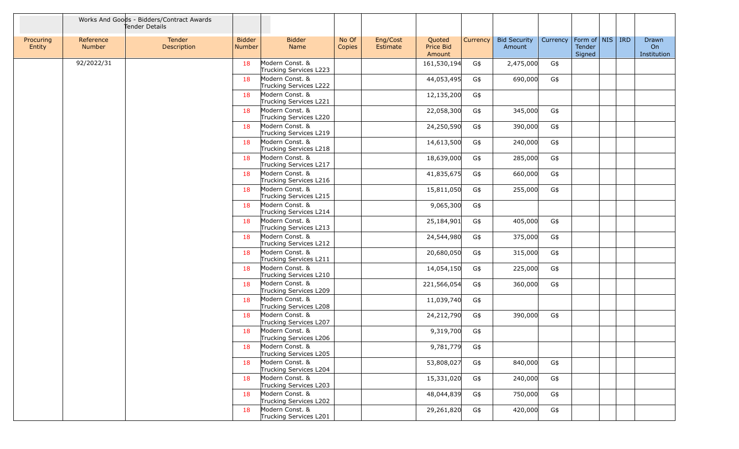|                     |                     | Works And Goods - Bidders/Contract Awards<br>Tender Details |                                |                                           |                 |                      |                               |          |                               |          |                                         |  |                            |
|---------------------|---------------------|-------------------------------------------------------------|--------------------------------|-------------------------------------------|-----------------|----------------------|-------------------------------|----------|-------------------------------|----------|-----------------------------------------|--|----------------------------|
| Procuring<br>Entity | Reference<br>Number | Tender<br>Description                                       | <b>Bidder</b><br><b>Number</b> | <b>Bidder</b><br>Name                     | No Of<br>Copies | Eng/Cost<br>Estimate | Quoted<br>Price Bid<br>Amount | Currency | <b>Bid Security</b><br>Amount | Currency | Form of   NIS   IRD<br>Tender<br>Signed |  | Drawn<br>On<br>Institution |
|                     | 92/2022/31          |                                                             | 18                             | Modern Const. &<br>Trucking Services L223 |                 |                      | 161,530,194                   | G\$      | 2,475,000                     | G\$      |                                         |  |                            |
|                     |                     |                                                             | 18                             | Modern Const. &<br>Trucking Services L222 |                 |                      | 44,053,495                    | G\$      | 690,000                       | G\$      |                                         |  |                            |
|                     |                     |                                                             | 18                             | Modern Const. &<br>Trucking Services L221 |                 |                      | 12,135,200                    | G\$      |                               |          |                                         |  |                            |
|                     |                     |                                                             | 18                             | Modern Const. &<br>Trucking Services L220 |                 |                      | 22,058,300                    | G\$      | 345,000                       | G\$      |                                         |  |                            |
|                     |                     |                                                             | 18                             | Modern Const. &<br>Trucking Services L219 |                 |                      | 24,250,590                    | G\$      | 390,000                       | G\$      |                                         |  |                            |
|                     |                     |                                                             | 18                             | Modern Const. &<br>Trucking Services L218 |                 |                      | 14,613,500                    | G\$      | 240,000                       | G\$      |                                         |  |                            |
|                     |                     |                                                             | 18                             | Modern Const. &<br>Trucking Services L217 |                 |                      | 18,639,000                    | G\$      | 285,000                       | G\$      |                                         |  |                            |
|                     |                     |                                                             | 18                             | Modern Const. &<br>Trucking Services L216 |                 |                      | 41,835,675                    | G\$      | 660,000                       | G\$      |                                         |  |                            |
|                     |                     |                                                             | 18                             | Modern Const. &<br>Trucking Services L215 |                 |                      | 15,811,050                    | G\$      | 255,000                       | G\$      |                                         |  |                            |
|                     |                     |                                                             | 18                             | Modern Const. &<br>Trucking Services L214 |                 |                      | 9,065,300                     | G\$      |                               |          |                                         |  |                            |
|                     |                     |                                                             | 18                             | Modern Const. &<br>Trucking Services L213 |                 |                      | 25,184,901                    | G\$      | 405,000                       | G\$      |                                         |  |                            |
|                     |                     |                                                             | 18                             | Modern Const. &<br>Trucking Services L212 |                 |                      | 24,544,980                    | G\$      | 375,000                       | G\$      |                                         |  |                            |
|                     |                     |                                                             | 18                             | Modern Const. &<br>Trucking Services L211 |                 |                      | 20,680,050                    | G\$      | 315,000                       | G\$      |                                         |  |                            |
|                     |                     |                                                             | 18                             | Modern Const. &<br>Trucking Services L210 |                 |                      | 14,054,150                    | G\$      | 225,000                       | G\$      |                                         |  |                            |
|                     |                     |                                                             | 18                             | Modern Const. &<br>Trucking Services L209 |                 |                      | 221,566,054                   | G\$      | 360,000                       | G\$      |                                         |  |                            |
|                     |                     |                                                             | 18                             | Modern Const. &<br>Trucking Services L208 |                 |                      | 11,039,740                    | G\$      |                               |          |                                         |  |                            |
|                     |                     |                                                             | 18                             | Modern Const. &<br>Trucking Services L207 |                 |                      | 24,212,790                    | G\$      | 390,000                       | G\$      |                                         |  |                            |
|                     |                     |                                                             | 18                             | Modern Const. &<br>Trucking Services L206 |                 |                      | 9,319,700                     | G\$      |                               |          |                                         |  |                            |
|                     |                     |                                                             | 18                             | Modern Const. &<br>Trucking Services L205 |                 |                      | 9,781,779                     | G\$      |                               |          |                                         |  |                            |
|                     |                     |                                                             | 18                             | Modern Const. &<br>Trucking Services L204 |                 |                      | 53,808,027                    | G\$      | 840,000                       | G\$      |                                         |  |                            |
|                     |                     |                                                             | 18                             | Modern Const. &<br>Trucking Services L203 |                 |                      | 15,331,020                    | G\$      | 240,000                       | G\$      |                                         |  |                            |
|                     |                     |                                                             | 18                             | Modern Const. &<br>Trucking Services L202 |                 |                      | 48,044,839                    | G\$      | 750,000                       | G\$      |                                         |  |                            |
|                     |                     |                                                             | 18                             | Modern Const. &<br>Trucking Services L201 |                 |                      | 29,261,820                    | G\$      | 420,000                       | G\$      |                                         |  |                            |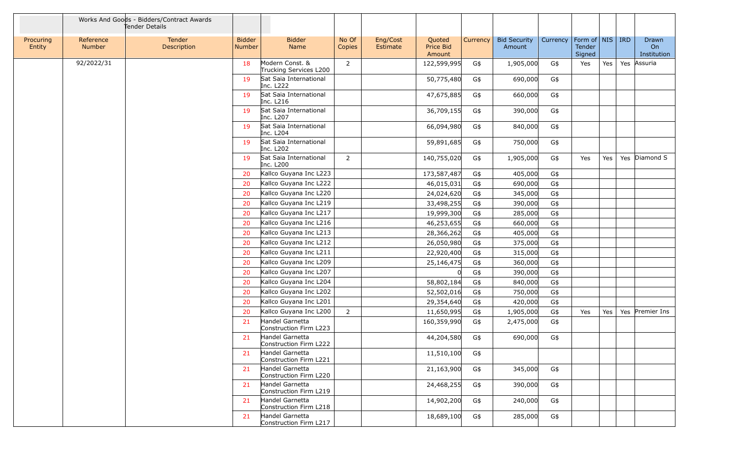|                     |                            | Works And Goods - Bidders/Contract Awards<br>Tender Details |                                |                                           |                 |                      |                               |          |                               |          |                                             |     |            |                                          |
|---------------------|----------------------------|-------------------------------------------------------------|--------------------------------|-------------------------------------------|-----------------|----------------------|-------------------------------|----------|-------------------------------|----------|---------------------------------------------|-----|------------|------------------------------------------|
| Procuring<br>Entity | Reference<br><b>Number</b> | Tender<br>Description                                       | <b>Bidder</b><br><b>Number</b> | <b>Bidder</b><br>Name                     | No Of<br>Copies | Eng/Cost<br>Estimate | Quoted<br>Price Bid<br>Amount | Currency | <b>Bid Security</b><br>Amount | Currency | $ $ Form of $ $ NIS $ $<br>Tender<br>Signed |     | <b>IRD</b> | <b>Drawn</b><br><b>On</b><br>Institution |
|                     | 92/2022/31                 |                                                             | 18                             | Modern Const. &<br>Trucking Services L200 | 2               |                      | 122,599,995                   | G\$      | 1,905,000                     | G\$      | Yes                                         | Yes |            | Yes Assuria                              |
|                     |                            |                                                             | 19                             | Sat Saia International<br>Inc. L222       |                 |                      | 50,775,480                    | G\$      | 690,000                       | G\$      |                                             |     |            |                                          |
|                     |                            |                                                             | 19                             | Sat Saia International<br>Inc. L216       |                 |                      | 47,675,885                    | G\$      | 660,000                       | G\$      |                                             |     |            |                                          |
|                     |                            |                                                             | 19                             | Sat Saia International<br>Inc. L207       |                 |                      | 36,709,155                    | G\$      | 390,000                       | G\$      |                                             |     |            |                                          |
|                     |                            |                                                             | 19                             | Sat Saia International<br>Inc. L204       |                 |                      | 66,094,980                    | G\$      | 840,000                       | G\$      |                                             |     |            |                                          |
|                     |                            |                                                             | 19                             | Sat Saia International<br>Inc. L202       |                 |                      | 59,891,685                    | G\$      | 750,000                       | G\$      |                                             |     |            |                                          |
|                     |                            |                                                             | 19                             | Sat Saia International<br>Inc. L200       | $\overline{2}$  |                      | 140,755,020                   | G\$      | 1,905,000                     | G\$      | Yes                                         | Yes |            | Yes Diamond S                            |
|                     |                            |                                                             | 20                             | Kallco Guyana Inc L223                    |                 |                      | 173,587,487                   | G\$      | 405,000                       | G\$      |                                             |     |            |                                          |
|                     |                            |                                                             | 20                             | Kallco Guyana Inc L222                    |                 |                      | 46,015,031                    | G\$      | 690,000                       | G\$      |                                             |     |            |                                          |
|                     |                            |                                                             | 20                             | Kallco Guyana Inc L220                    |                 |                      | 24,024,620                    | G\$      | 345,000                       | G\$      |                                             |     |            |                                          |
|                     |                            |                                                             | 20                             | Kallco Guyana Inc L219                    |                 |                      | 33,498,255                    | G\$      | 390,000                       | G\$      |                                             |     |            |                                          |
|                     |                            |                                                             | 20                             | Kallco Guyana Inc L217                    |                 |                      | 19,999,300                    | G\$      | 285,000                       | G\$      |                                             |     |            |                                          |
|                     |                            |                                                             | 20                             | Kallco Guyana Inc L216                    |                 |                      | 46,253,655                    | G\$      | 660,000                       | G\$      |                                             |     |            |                                          |
|                     |                            |                                                             | 20                             | Kallco Guyana Inc L213                    |                 |                      | 28,366,262                    | G\$      | 405,000                       | G\$      |                                             |     |            |                                          |
|                     |                            |                                                             | 20                             | Kallco Guyana Inc L212                    |                 |                      | 26,050,980                    | G\$      | 375,000                       | G\$      |                                             |     |            |                                          |
|                     |                            |                                                             | 20                             | Kallco Guyana Inc L211                    |                 |                      | 22,920,400                    | G\$      | 315,000                       | G\$      |                                             |     |            |                                          |
|                     |                            |                                                             | 20                             | Kallco Guyana Inc L209                    |                 |                      | 25,146,475                    | G\$      | 360,000                       | G\$      |                                             |     |            |                                          |
|                     |                            |                                                             | 20                             | Kallco Guyana Inc L207                    |                 |                      |                               | G\$      | 390,000                       | G\$      |                                             |     |            |                                          |
|                     |                            |                                                             | 20                             | Kallco Guyana Inc L204                    |                 |                      | 58,802,184                    | G\$      | 840,000                       | G\$      |                                             |     |            |                                          |
|                     |                            |                                                             | 20                             | Kallco Guyana Inc L202                    |                 |                      | 52,502,016                    | G\$      | 750,000                       | G\$      |                                             |     |            |                                          |
|                     |                            |                                                             | 20                             | Kallco Guyana Inc L201                    |                 |                      | 29,354,640                    | G\$      | 420,000                       | G\$      |                                             |     |            |                                          |
|                     |                            |                                                             | 20                             | Kallco Guyana Inc L200                    | $\overline{2}$  |                      | 11,650,995                    | G\$      | 1,905,000                     | G\$      | Yes                                         | Yes |            | Yes Premier Ins                          |
|                     |                            |                                                             | 21                             | Handel Garnetta<br>Construction Firm L223 |                 |                      | 160,359,990                   | G\$      | 2,475,000                     | G\$      |                                             |     |            |                                          |
|                     |                            |                                                             | 21                             | Handel Garnetta<br>Construction Firm L222 |                 |                      | 44,204,580                    | G\$      | 690,000                       | G\$      |                                             |     |            |                                          |
|                     |                            |                                                             | 21                             | Handel Garnetta<br>Construction Firm L221 |                 |                      | 11,510,100                    | G\$      |                               |          |                                             |     |            |                                          |
|                     |                            |                                                             | 21                             | Handel Garnetta<br>Construction Firm L220 |                 |                      | 21,163,900                    | G\$      | 345,000                       | G\$      |                                             |     |            |                                          |
|                     |                            |                                                             | 21                             | Handel Garnetta<br>Construction Firm L219 |                 |                      | 24,468,255                    | G\$      | 390,000                       | G\$      |                                             |     |            |                                          |
|                     |                            |                                                             | 21                             | Handel Garnetta<br>Construction Firm L218 |                 |                      | 14,902,200                    | G\$      | 240,000                       | G\$      |                                             |     |            |                                          |
|                     |                            |                                                             | 21                             | Handel Garnetta<br>Construction Firm L217 |                 |                      | 18,689,100                    | G\$      | 285,000                       | G\$      |                                             |     |            |                                          |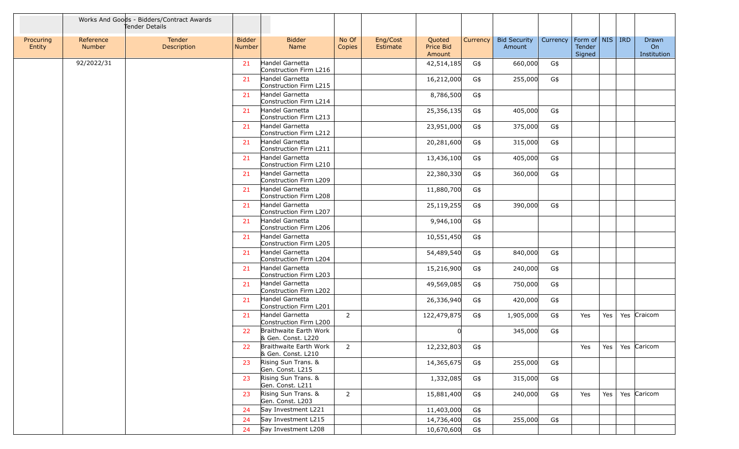|                     |                     | Works And Goods - Bidders/Contract Awards<br>Tender Details |                                |                                              |                 |                      |                               |          |                               |          |                                         |            |                            |
|---------------------|---------------------|-------------------------------------------------------------|--------------------------------|----------------------------------------------|-----------------|----------------------|-------------------------------|----------|-------------------------------|----------|-----------------------------------------|------------|----------------------------|
| Procuring<br>Entity | Reference<br>Number | <b>Tender</b><br>Description                                | <b>Bidder</b><br><b>Number</b> | <b>Bidder</b><br>Name                        | No Of<br>Copies | Eng/Cost<br>Estimate | Quoted<br>Price Bid<br>Amount | Currency | <b>Bid Security</b><br>Amount | Currency | Form of   NIS   IRD<br>Tender<br>Signed |            | Drawn<br>On<br>Institution |
|                     | 92/2022/31          |                                                             | 21                             | Handel Garnetta<br>Construction Firm L216    |                 |                      | 42,514,185                    | G\$      | 660,000                       | G\$      |                                         |            |                            |
|                     |                     |                                                             | 21                             | Handel Garnetta<br>Construction Firm L215    |                 |                      | 16,212,000                    | G\$      | 255,000                       | G\$      |                                         |            |                            |
|                     |                     |                                                             | 21                             | Handel Garnetta<br>Construction Firm L214    |                 |                      | 8,786,500                     | G\$      |                               |          |                                         |            |                            |
|                     |                     |                                                             | 21                             | Handel Garnetta<br>Construction Firm L213    |                 |                      | 25,356,135                    | G\$      | 405,000                       | G\$      |                                         |            |                            |
|                     |                     |                                                             | 21                             | Handel Garnetta<br>Construction Firm L212    |                 |                      | 23,951,000                    | G\$      | 375,000                       | G\$      |                                         |            |                            |
|                     |                     |                                                             | 21                             | Handel Garnetta<br>Construction Firm L211    |                 |                      | 20,281,600                    | G\$      | 315,000                       | G\$      |                                         |            |                            |
|                     |                     |                                                             | 21                             | Handel Garnetta<br>Construction Firm L210    |                 |                      | 13,436,100                    | G\$      | 405,000                       | G\$      |                                         |            |                            |
|                     |                     |                                                             | 21                             | Handel Garnetta<br>Construction Firm L209    |                 |                      | 22,380,330                    | G\$      | 360,000                       | G\$      |                                         |            |                            |
|                     |                     |                                                             | 21                             | Handel Garnetta<br>Construction Firm L208    |                 |                      | 11,880,700                    | G\$      |                               |          |                                         |            |                            |
|                     |                     |                                                             | 21                             | Handel Garnetta<br>Construction Firm L207    |                 |                      | 25,119,255                    | G\$      | 390,000                       | G\$      |                                         |            |                            |
|                     |                     |                                                             | 21                             | Handel Garnetta<br>Construction Firm L206    |                 |                      | 9,946,100                     | G\$      |                               |          |                                         |            |                            |
|                     |                     |                                                             | 21                             | Handel Garnetta<br>Construction Firm L205    |                 |                      | 10,551,450                    | G\$      |                               |          |                                         |            |                            |
|                     |                     |                                                             | 21                             | Handel Garnetta<br>Construction Firm L204    |                 |                      | 54,489,540                    | G\$      | 840,000                       | G\$      |                                         |            |                            |
|                     |                     |                                                             | 21                             | Handel Garnetta<br>Construction Firm L203    |                 |                      | 15,216,900                    | G\$      | 240,000                       | G\$      |                                         |            |                            |
|                     |                     |                                                             | 21                             | Handel Garnetta<br>Construction Firm L202    |                 |                      | 49,569,085                    | G\$      | 750,000                       | G\$      |                                         |            |                            |
|                     |                     |                                                             | 21                             | Handel Garnetta<br>Construction Firm L201    |                 |                      | 26,336,940                    | G\$      | 420,000                       | G\$      |                                         |            |                            |
|                     |                     |                                                             | 21                             | Handel Garnetta<br>Construction Firm L200    | $\overline{2}$  |                      | 122,479,875                   | G\$      | 1,905,000                     | G\$      | Yes                                     | Yes        | Yes Craicom                |
|                     |                     |                                                             | 22                             | Braithwaite Earth Work<br>& Gen. Const. L220 |                 |                      | <sup>0</sup>                  |          | 345,000                       | G\$      |                                         |            |                            |
|                     |                     |                                                             | 22                             | Braithwaite Earth Work<br>& Gen. Const. L210 | 2               |                      | 12,232,803                    | G\$      |                               |          | Yes                                     | Yes        | Yes Caricom                |
|                     |                     |                                                             | 23                             | Rising Sun Trans. &<br>Gen. Const. L215      |                 |                      | 14,365,675                    | G\$      | 255,000                       | G\$      |                                         |            |                            |
|                     |                     |                                                             | 23                             | Rising Sun Trans. &<br>Gen. Const. L211      |                 |                      | 1,332,085                     | G\$      | 315,000                       | G\$      |                                         |            |                            |
|                     |                     |                                                             | 23                             | Rising Sun Trans. &<br>Gen. Const. L203      | $\overline{2}$  |                      | 15,881,400                    | G\$      | 240,000                       | G\$      | Yes                                     | $Yes \mid$ | Yes Caricom                |
|                     |                     |                                                             | 24                             | Say Investment L221                          |                 |                      | 11,403,000                    | G\$      |                               |          |                                         |            |                            |
|                     |                     |                                                             | 24                             | Say Investment L215                          |                 |                      | 14,736,400                    | G\$      | 255,000                       | G\$      |                                         |            |                            |
|                     |                     |                                                             | 24                             | Say Investment L208                          |                 |                      | 10,670,600                    | G\$      |                               |          |                                         |            |                            |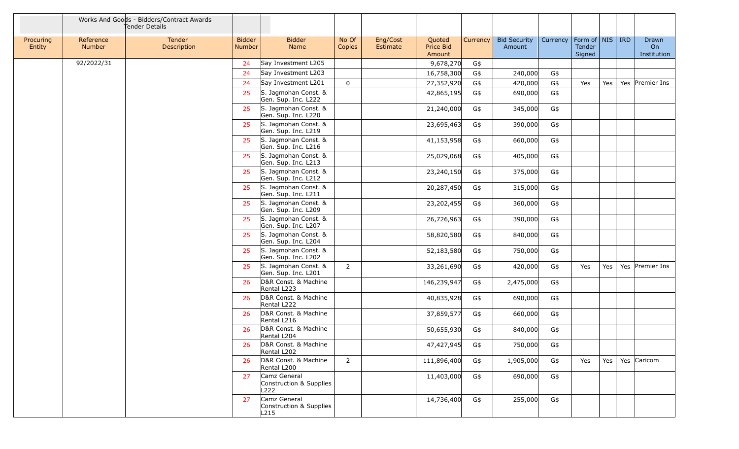|                     |                     | Works And Goods - Bidders/Contract Awards<br>Tender Details |                         |                                                 |                 |                      |                               |          |                               |                                |                  |         |                            |
|---------------------|---------------------|-------------------------------------------------------------|-------------------------|-------------------------------------------------|-----------------|----------------------|-------------------------------|----------|-------------------------------|--------------------------------|------------------|---------|----------------------------|
| Procuring<br>Entity | Reference<br>Number | Tender<br>Description                                       | <b>Bidder</b><br>Number | <b>Bidder</b><br>Name                           | No Of<br>Copies | Eng/Cost<br>Estimate | Quoted<br>Price Bid<br>Amount | Currency | <b>Bid Security</b><br>Amount | Currency   Form of   NIS   IRD | Tender<br>Signed |         | Drawn<br>On<br>Institution |
|                     | 92/2022/31          |                                                             | 24                      | Say Investment L205                             |                 |                      | 9,678,270                     | G\$      |                               |                                |                  |         |                            |
|                     |                     |                                                             | 24                      | Say Investment L203                             |                 |                      | 16,758,300                    | G\$      | 240,000                       | G\$                            |                  |         |                            |
|                     |                     |                                                             | 24                      | Say Investment L201                             | $\mathbf 0$     |                      | 27,352,920                    | G\$      | 420,000                       | G\$                            | Yes              | Yes     | Yes Premier Ins            |
|                     |                     |                                                             | 25                      | S. Jagmohan Const. &<br>Gen. Sup. Inc. L222     |                 |                      | 42,865,195                    | G\$      | 690,000                       | G\$                            |                  |         |                            |
|                     |                     |                                                             | 25                      | S. Jagmohan Const. &<br>Gen. Sup. Inc. L220     |                 |                      | 21,240,000                    | G\$      | 345,000                       | G\$                            |                  |         |                            |
|                     |                     |                                                             | 25                      | S. Jagmohan Const. &<br>Gen. Sup. Inc. L219     |                 |                      | 23,695,463                    | G\$      | 390,000                       | G\$                            |                  |         |                            |
|                     |                     |                                                             | 25                      | S. Jagmohan Const. &<br>Gen. Sup. Inc. L216     |                 |                      | 41,153,958                    | G\$      | 660,000                       | G\$                            |                  |         |                            |
|                     |                     |                                                             | 25                      | S. Jagmohan Const. &<br>Gen. Sup. Inc. L213     |                 |                      | 25,029,068                    | G\$      | 405,000                       | G\$                            |                  |         |                            |
|                     |                     |                                                             | 25                      | S. Jagmohan Const. &<br>Gen. Sup. Inc. L212     |                 |                      | 23,240,150                    | G\$      | 375,000                       | G\$                            |                  |         |                            |
|                     |                     |                                                             | 25                      | S. Jagmohan Const. &<br>Gen. Sup. Inc. L211     |                 |                      | 20,287,450                    | G\$      | 315,000                       | G\$                            |                  |         |                            |
|                     |                     |                                                             | 25                      | S. Jagmohan Const. &<br>Gen. Sup. Inc. L209     |                 |                      | 23,202,455                    | G\$      | 360,000                       | G\$                            |                  |         |                            |
|                     |                     |                                                             | 25                      | S. Jagmohan Const. &<br>Gen. Sup. Inc. L207     |                 |                      | 26,726,963                    | G\$      | 390,000                       | G\$                            |                  |         |                            |
|                     |                     |                                                             | 25                      | S. Jagmohan Const. &<br>Gen. Sup. Inc. L204     |                 |                      | 58,820,580                    | G\$      | 840,000                       | G\$                            |                  |         |                            |
|                     |                     |                                                             | 25                      | S. Jagmohan Const. &<br>Gen. Sup. Inc. L202     |                 |                      | 52,183,580                    | G\$      | 750,000                       | G\$                            |                  |         |                            |
|                     |                     |                                                             | 25                      | S. Jagmohan Const. &<br>Gen. Sup. Inc. L201     | $\overline{2}$  |                      | 33,261,690                    | G\$      | 420,000                       | G\$                            | Yes              | Yes     | Yes Premier Ins            |
|                     |                     |                                                             | 26                      | D&R Const. & Machine<br>Rental L223             |                 |                      | 146,239,947                   | G\$      | 2,475,000                     | G\$                            |                  |         |                            |
|                     |                     |                                                             | 26                      | D&R Const. & Machine<br>Rental L222             |                 |                      | 40,835,928                    | G\$      | 690,000                       | G\$                            |                  |         |                            |
|                     |                     |                                                             | 26                      | D&R Const. & Machine<br>Rental L216             |                 |                      | 37,859,577                    | G\$      | 660,000                       | G\$                            |                  |         |                            |
|                     |                     |                                                             | 26                      | D&R Const. & Machine<br>Rental L204             |                 |                      | 50,655,930                    | G\$      | 840,000                       | G\$                            |                  |         |                            |
|                     |                     |                                                             | 26                      | D&R Const. & Machine<br>Rental L202             |                 |                      | 47,427,945                    | G\$      | 750,000                       | G\$                            |                  |         |                            |
|                     |                     |                                                             | -26                     | D&R Const. & Machine<br>Rental L200             | $2^{\circ}$     |                      | 111,896,400                   | G\$      | 1,905,000                     | G\$                            | Yes              | Yes $ $ | Yes Caricom                |
|                     |                     |                                                             | 27                      | Camz General<br>Construction & Supplies<br>L222 |                 |                      | 11,403,000                    | G\$      | 690,000                       | G\$                            |                  |         |                            |
|                     |                     |                                                             | 27                      | Camz General<br>Construction & Supplies<br>L215 |                 |                      | 14,736,400                    | G\$      | 255,000                       | G\$                            |                  |         |                            |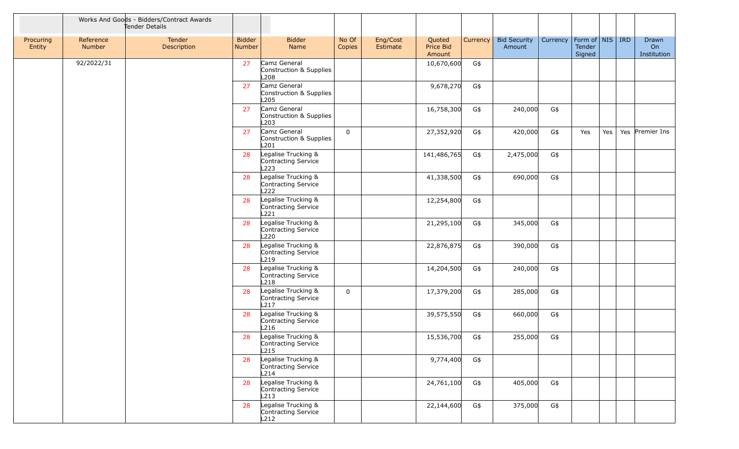|                     |                            | Works And Goods - Bidders/Contract Awards<br>Tender Details |                         |                                                    |                 |                      |                                      |          |                               |                                |                  |     |                                   |
|---------------------|----------------------------|-------------------------------------------------------------|-------------------------|----------------------------------------------------|-----------------|----------------------|--------------------------------------|----------|-------------------------------|--------------------------------|------------------|-----|-----------------------------------|
| Procuring<br>Entity | Reference<br><b>Number</b> | Tender<br>Description                                       | <b>Bidder</b><br>Number | <b>Bidder</b><br>Name                              | No Of<br>Copies | Eng/Cost<br>Estimate | Quoted<br><b>Price Bid</b><br>Amount | Currency | <b>Bid Security</b><br>Amount | Currency   Form of   NIS   IRD | Tender<br>Signed |     | <b>Drawn</b><br>On<br>Institution |
|                     | 92/2022/31                 |                                                             | 27                      | Camz General<br>Construction & Supplies<br>L208    |                 |                      | 10,670,600                           | G\$      |                               |                                |                  |     |                                   |
|                     |                            |                                                             | 27                      | Camz General<br>Construction & Supplies<br>L205    |                 |                      | 9,678,270                            | G\$      |                               |                                |                  |     |                                   |
|                     |                            |                                                             | 27                      | Camz General<br>Construction & Supplies<br>L203    |                 |                      | 16,758,300                           | G\$      | 240,000                       | G\$                            |                  |     |                                   |
|                     |                            |                                                             | 27                      | Camz General<br>Construction & Supplies<br>L201    | $\mathbf 0$     |                      | 27,352,920                           | G\$      | 420,000                       | G\$                            | Yes              | Yes | Yes Premier Ins                   |
|                     |                            |                                                             | 28                      | Legalise Trucking &<br>Contracting Service<br>L223 |                 |                      | 141,486,765                          | G\$      | 2,475,000                     | G\$                            |                  |     |                                   |
|                     |                            |                                                             | 28                      | Legalise Trucking &<br>Contracting Service<br>L222 |                 |                      | 41,338,500                           | G\$      | 690,000                       | G\$                            |                  |     |                                   |
|                     |                            |                                                             | 28                      | Legalise Trucking &<br>Contracting Service<br>L221 |                 |                      | 12,254,800                           | G\$      |                               |                                |                  |     |                                   |
|                     |                            |                                                             | 28                      | Legalise Trucking &<br>Contracting Service<br>L220 |                 |                      | 21,295,100                           | G\$      | 345,000                       | G\$                            |                  |     |                                   |
|                     |                            |                                                             | 28                      | Legalise Trucking &<br>Contracting Service<br>L219 |                 |                      | 22,876,875                           | G\$      | 390,000                       | G\$                            |                  |     |                                   |
|                     |                            |                                                             | 28                      | Legalise Trucking &<br>Contracting Service<br>L218 |                 |                      | 14,204,500                           | G\$      | 240,000                       | G\$                            |                  |     |                                   |
|                     |                            |                                                             | 28                      | Legalise Trucking &<br>Contracting Service<br>L217 | $\mathbf 0$     |                      | 17,379,200                           | G\$      | 285,000                       | G\$                            |                  |     |                                   |
|                     |                            |                                                             | 28                      | Legalise Trucking &<br>Contracting Service<br>L216 |                 |                      | 39,575,550                           | G\$      | 660,000                       | G\$                            |                  |     |                                   |
|                     |                            |                                                             | 28                      | Legalise Trucking &<br>Contracting Service<br>L215 |                 |                      | 15,536,700                           | G\$      | 255,000                       | G\$                            |                  |     |                                   |
|                     |                            |                                                             | 28                      | Legalise Trucking &<br>Contracting Service<br>L214 |                 |                      | 9,774,400                            | G\$      |                               |                                |                  |     |                                   |
|                     |                            |                                                             | 28                      | Legalise Trucking &<br>Contracting Service<br>L213 |                 |                      | 24,761,100                           | G\$      | 405,000                       | G\$                            |                  |     |                                   |
|                     |                            |                                                             | 28                      | Legalise Trucking &<br>Contracting Service<br>L212 |                 |                      | 22,144,600                           | G\$      | 375,000                       | G\$                            |                  |     |                                   |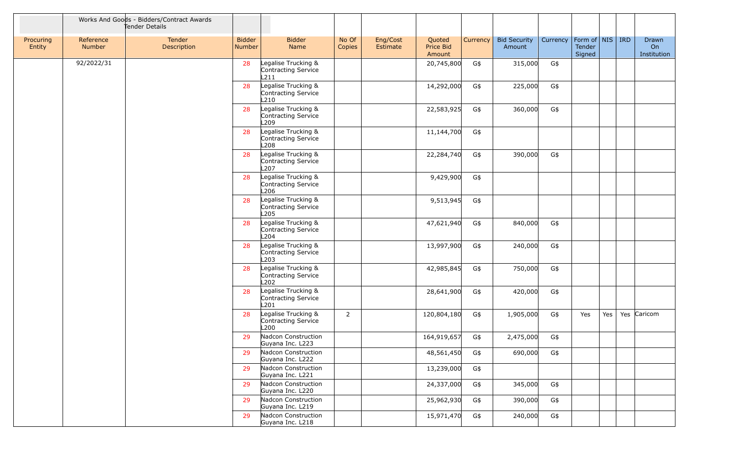|                     |                     | Works And Goods - Bidders/Contract Awards<br>Tender Details |                         |                                                                |                 |                      |                               |          |                               |                                |                  |     |                            |
|---------------------|---------------------|-------------------------------------------------------------|-------------------------|----------------------------------------------------------------|-----------------|----------------------|-------------------------------|----------|-------------------------------|--------------------------------|------------------|-----|----------------------------|
| Procuring<br>Entity | Reference<br>Number | Tender<br>Description                                       | <b>Bidder</b><br>Number | <b>Bidder</b><br>Name                                          | No Of<br>Copies | Eng/Cost<br>Estimate | Quoted<br>Price Bid<br>Amount | Currency | <b>Bid Security</b><br>Amount | Currency   Form of   NIS   IRD | Tender<br>Signed |     | Drawn<br>On<br>Institution |
|                     | 92/2022/31          |                                                             | 28                      | Legalise Trucking &<br>Contracting Service<br>L211             |                 |                      | 20,745,800                    | G\$      | 315,000                       | G\$                            |                  |     |                            |
|                     |                     |                                                             | 28                      | Legalise Trucking &<br>Contracting Service<br>L210             |                 |                      | 14,292,000                    | G\$      | 225,000                       | G\$                            |                  |     |                            |
|                     |                     |                                                             | 28                      | Legalise Trucking &<br>Contracting Service<br>L <sub>209</sub> |                 |                      | 22,583,925                    | G\$      | 360,000                       | G\$                            |                  |     |                            |
|                     |                     |                                                             | 28                      | Legalise Trucking &<br>Contracting Service<br>L208             |                 |                      | 11,144,700                    | G\$      |                               |                                |                  |     |                            |
|                     |                     |                                                             | 28                      | Legalise Trucking &<br>Contracting Service<br>L <sub>207</sub> |                 |                      | 22,284,740                    | G\$      | 390,000                       | G\$                            |                  |     |                            |
|                     |                     |                                                             | 28                      | Legalise Trucking &<br>Contracting Service<br>L206             |                 |                      | 9,429,900                     | G\$      |                               |                                |                  |     |                            |
|                     |                     |                                                             | 28                      | Legalise Trucking &<br>Contracting Service<br>L205             |                 |                      | 9,513,945                     | G\$      |                               |                                |                  |     |                            |
|                     |                     |                                                             | 28                      | Legalise Trucking &<br>Contracting Service<br>L204             |                 |                      | 47,621,940                    | G\$      | 840,000                       | G\$                            |                  |     |                            |
|                     |                     |                                                             | 28                      | Legalise Trucking &<br>Contracting Service<br>L <sub>203</sub> |                 |                      | 13,997,900                    | G\$      | 240,000                       | G\$                            |                  |     |                            |
|                     |                     |                                                             | 28                      | Legalise Trucking &<br>Contracting Service<br>L202             |                 |                      | 42,985,845                    | G\$      | 750,000                       | G\$                            |                  |     |                            |
|                     |                     |                                                             | 28                      | Legalise Trucking &<br>Contracting Service<br>L <sub>201</sub> |                 |                      | 28,641,900                    | G\$      | 420,000                       | G\$                            |                  |     |                            |
|                     |                     |                                                             | 28                      | Legalise Trucking &<br>Contracting Service<br>L200             | $\overline{2}$  |                      | 120,804,180                   | G\$      | 1,905,000                     | G\$                            | Yes              | Yes | Yes Caricom                |
|                     |                     |                                                             | 29                      | Nadcon Construction<br>Guyana Inc. L223                        |                 |                      | 164,919,657                   | G\$      | 2,475,000                     | G\$                            |                  |     |                            |
|                     |                     |                                                             | 29                      | Nadcon Construction<br>Guyana Inc. L222                        |                 |                      | 48,561,450                    | G\$      | 690,000                       | G\$                            |                  |     |                            |
|                     |                     |                                                             | 29                      | Nadcon Construction<br>Guyana Inc. L221                        |                 |                      | 13,239,000                    | G\$      |                               |                                |                  |     |                            |
|                     |                     |                                                             | 29                      | Nadcon Construction<br>Guyana Inc. L220                        |                 |                      | 24,337,000                    | G\$      | 345,000                       | G\$                            |                  |     |                            |
|                     |                     |                                                             | 29                      | Nadcon Construction<br>Guyana Inc. L219                        |                 |                      | 25,962,930                    | G\$      | 390,000                       | G\$                            |                  |     |                            |
|                     |                     |                                                             | 29                      | Nadcon Construction<br>Guyana Inc. L218                        |                 |                      | 15,971,470                    | G\$      | 240,000                       | G\$                            |                  |     |                            |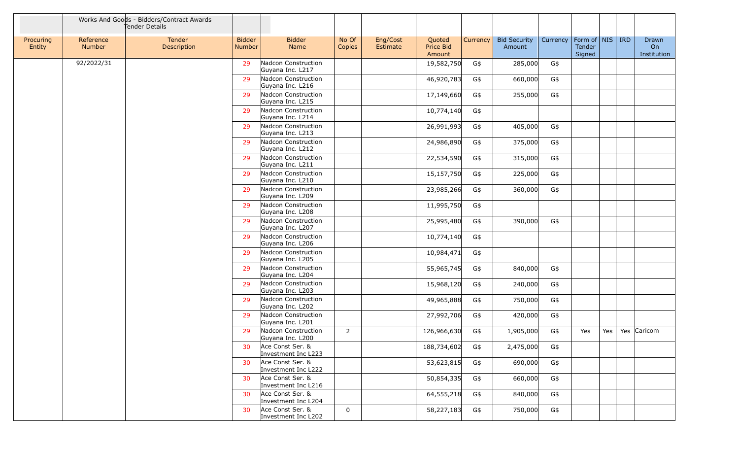|                     |                            | Works And Goods - Bidders/Contract Awards<br>Tender Details |                         |                                         |                 |                      |                               |          |                               |          |                                         |     |                                   |
|---------------------|----------------------------|-------------------------------------------------------------|-------------------------|-----------------------------------------|-----------------|----------------------|-------------------------------|----------|-------------------------------|----------|-----------------------------------------|-----|-----------------------------------|
| Procuring<br>Entity | Reference<br><b>Number</b> | Tender<br>Description                                       | <b>Bidder</b><br>Number | <b>Bidder</b><br>Name                   | No Of<br>Copies | Eng/Cost<br>Estimate | Quoted<br>Price Bid<br>Amount | Currency | <b>Bid Security</b><br>Amount | Currency | Form of   NIS   IRD<br>Tender<br>Signed |     | <b>Drawn</b><br>On<br>Institution |
|                     | 92/2022/31                 |                                                             | 29                      | Nadcon Construction<br>Guyana Inc. L217 |                 |                      | 19,582,750                    | G\$      | 285,000                       | G\$      |                                         |     |                                   |
|                     |                            |                                                             | 29                      | Nadcon Construction<br>Guyana Inc. L216 |                 |                      | 46,920,783                    | G\$      | 660,000                       | G\$      |                                         |     |                                   |
|                     |                            |                                                             | 29                      | Nadcon Construction<br>Guyana Inc. L215 |                 |                      | 17,149,660                    | G\$      | 255,000                       | G\$      |                                         |     |                                   |
|                     |                            |                                                             | 29                      | Nadcon Construction<br>Guyana Inc. L214 |                 |                      | 10,774,140                    | G\$      |                               |          |                                         |     |                                   |
|                     |                            |                                                             | 29                      | Nadcon Construction<br>Guyana Inc. L213 |                 |                      | 26,991,993                    | G\$      | 405,000                       | G\$      |                                         |     |                                   |
|                     |                            |                                                             | 29                      | Nadcon Construction<br>Guyana Inc. L212 |                 |                      | 24,986,890                    | G\$      | 375,000                       | G\$      |                                         |     |                                   |
|                     |                            |                                                             | 29                      | Nadcon Construction<br>Guyana Inc. L211 |                 |                      | 22,534,590                    | G\$      | 315,000                       | G\$      |                                         |     |                                   |
|                     |                            |                                                             | 29                      | Nadcon Construction<br>Guyana Inc. L210 |                 |                      | 15,157,750                    | G\$      | 225,000                       | G\$      |                                         |     |                                   |
|                     |                            |                                                             | 29                      | Nadcon Construction<br>Guyana Inc. L209 |                 |                      | 23,985,266                    | G\$      | 360,000                       | G\$      |                                         |     |                                   |
|                     |                            |                                                             | 29                      | Nadcon Construction<br>Guyana Inc. L208 |                 |                      | 11,995,750                    | G\$      |                               |          |                                         |     |                                   |
|                     |                            |                                                             | 29                      | Nadcon Construction<br>Guyana Inc. L207 |                 |                      | 25,995,480                    | G\$      | 390,000                       | G\$      |                                         |     |                                   |
|                     |                            |                                                             | 29                      | Nadcon Construction<br>Guyana Inc. L206 |                 |                      | 10,774,140                    | G\$      |                               |          |                                         |     |                                   |
|                     |                            |                                                             | 29                      | Nadcon Construction<br>Guyana Inc. L205 |                 |                      | 10,984,471                    | G\$      |                               |          |                                         |     |                                   |
|                     |                            |                                                             | 29                      | Nadcon Construction<br>Guyana Inc. L204 |                 |                      | 55,965,745                    | G\$      | 840,000                       | G\$      |                                         |     |                                   |
|                     |                            |                                                             | 29                      | Nadcon Construction<br>Guyana Inc. L203 |                 |                      | 15,968,120                    | G\$      | 240,000                       | G\$      |                                         |     |                                   |
|                     |                            |                                                             | 29                      | Nadcon Construction<br>Guyana Inc. L202 |                 |                      | 49,965,888                    | G\$      | 750,000                       | G\$      |                                         |     |                                   |
|                     |                            |                                                             | 29                      | Nadcon Construction<br>Guyana Inc. L201 |                 |                      | 27,992,706                    | G\$      | 420,000                       | G\$      |                                         |     |                                   |
|                     |                            |                                                             | 29                      | Nadcon Construction<br>Guyana Inc. L200 | $\overline{2}$  |                      | 126,966,630                   | G\$      | 1,905,000                     | G\$      | Yes                                     | Yes | Yes Caricom                       |
|                     |                            |                                                             | 30                      | Ace Const Ser. &<br>Investment Inc L223 |                 |                      | 188,734,602                   | G\$      | 2,475,000                     | G\$      |                                         |     |                                   |
|                     |                            |                                                             | 30                      | Ace Const Ser. &<br>Investment Inc L222 |                 |                      | 53,623,815                    | G\$      | 690,000                       | G\$      |                                         |     |                                   |
|                     |                            |                                                             | 30                      | Ace Const Ser. &<br>Investment Inc L216 |                 |                      | 50,854,335                    | G\$      | 660,000                       | G\$      |                                         |     |                                   |
|                     |                            |                                                             | 30                      | Ace Const Ser. &<br>Investment Inc L204 |                 |                      | 64,555,218                    | G\$      | 840,000                       | G\$      |                                         |     |                                   |
|                     |                            |                                                             | 30                      | Ace Const Ser. &<br>Investment Inc L202 | $\mathbf{0}$    |                      | 58,227,183                    | G\$      | 750,000                       | G\$      |                                         |     |                                   |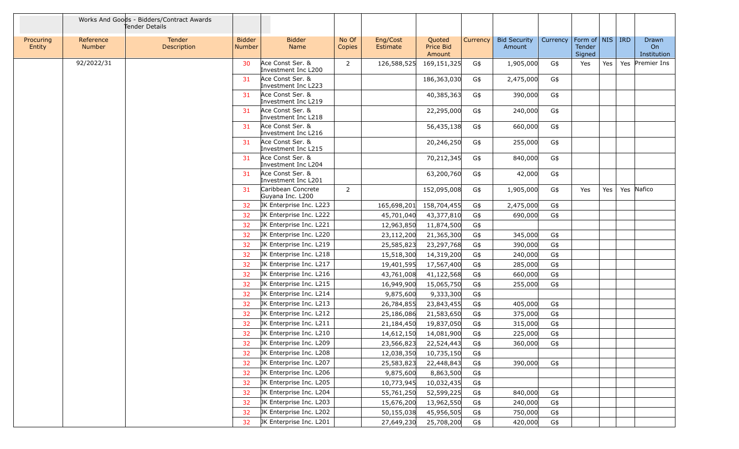|                     |                            | Works And Goods - Bidders/Contract Awards<br>Tender Details |                                |                                         |                 |                      |                               |          |                               |          |                                                     |     |                            |
|---------------------|----------------------------|-------------------------------------------------------------|--------------------------------|-----------------------------------------|-----------------|----------------------|-------------------------------|----------|-------------------------------|----------|-----------------------------------------------------|-----|----------------------------|
| Procuring<br>Entity | Reference<br><b>Number</b> | Tender<br>Description                                       | <b>Bidder</b><br><b>Number</b> | <b>Bidder</b><br>Name                   | No Of<br>Copies | Eng/Cost<br>Estimate | Quoted<br>Price Bid<br>Amount | Currency | <b>Bid Security</b><br>Amount | Currency | Form of $\vert$ NIS $\vert$ IRD<br>Tender<br>Signed |     | Drawn<br>On<br>Institution |
|                     | 92/2022/31                 |                                                             | 30                             | Ace Const Ser. &<br>Investment Inc L200 | $\overline{2}$  | 126,588,525          | 169,151,325                   | G\$      | 1,905,000                     | G\$      | Yes                                                 | Yes | Yes Premier Ins            |
|                     |                            |                                                             | 31                             | Ace Const Ser. &<br>Investment Inc L223 |                 |                      | 186,363,030                   | G\$      | 2,475,000                     | G\$      |                                                     |     |                            |
|                     |                            |                                                             | 31                             | Ace Const Ser. &<br>Investment Inc L219 |                 |                      | 40,385,363                    | G\$      | 390,000                       | G\$      |                                                     |     |                            |
|                     |                            |                                                             | 31                             | Ace Const Ser. &<br>Investment Inc L218 |                 |                      | 22,295,000                    | G\$      | 240,000                       | G\$      |                                                     |     |                            |
|                     |                            |                                                             | 31                             | Ace Const Ser. &<br>Investment Inc L216 |                 |                      | 56,435,138                    | G\$      | 660,000                       | G\$      |                                                     |     |                            |
|                     |                            |                                                             | 31                             | Ace Const Ser. &<br>Investment Inc L215 |                 |                      | 20,246,250                    | G\$      | 255,000                       | G\$      |                                                     |     |                            |
|                     |                            |                                                             | 31                             | Ace Const Ser. &<br>Investment Inc L204 |                 |                      | 70,212,345                    | G\$      | 840,000                       | G\$      |                                                     |     |                            |
|                     |                            |                                                             | 31                             | Ace Const Ser. &<br>Investment Inc L201 |                 |                      | 63,200,760                    | G\$      | 42,000                        | G\$      |                                                     |     |                            |
|                     |                            |                                                             | 31                             | Caribbean Concrete<br>Guyana Inc. L200  | $\overline{2}$  |                      | 152,095,008                   | G\$      | 1,905,000                     | G\$      | Yes                                                 | Yes | Yes Nafico                 |
|                     |                            |                                                             | 32                             | JK Enterprise Inc. L223                 |                 | 165,698,201          | 158,704,455                   | G\$      | 2,475,000                     | G\$      |                                                     |     |                            |
|                     |                            |                                                             | 32                             | JK Enterprise Inc. L222                 |                 | 45,701,040           | 43,377,810                    | G\$      | 690,000                       | G\$      |                                                     |     |                            |
|                     |                            |                                                             | 32                             | JK Enterprise Inc. L221                 |                 | 12,963,850           | 11,874,500                    | G\$      |                               |          |                                                     |     |                            |
|                     |                            |                                                             | 32                             | JK Enterprise Inc. L220                 |                 | 23,112,200           | 21,365,300                    | G\$      | 345,000                       | G\$      |                                                     |     |                            |
|                     |                            |                                                             | 32                             | JK Enterprise Inc. L219                 |                 | 25,585,823           | 23,297,768                    | G\$      | 390,000                       | G\$      |                                                     |     |                            |
|                     |                            |                                                             | 32                             | JK Enterprise Inc. L218                 |                 | 15,518,300           | 14,319,200                    | G\$      | 240,000                       | G\$      |                                                     |     |                            |
|                     |                            |                                                             | 32                             | JK Enterprise Inc. L217                 |                 | 19,401,595           | 17,567,400                    | G\$      | 285,000                       | G\$      |                                                     |     |                            |
|                     |                            |                                                             | 32                             | JK Enterprise Inc. L216                 |                 | 43,761,008           | 41,122,568                    | G\$      | 660,000                       | G\$      |                                                     |     |                            |
|                     |                            |                                                             | 32                             | JK Enterprise Inc. L215                 |                 | 16,949,900           | 15,065,750                    | G\$      | 255,000                       | G\$      |                                                     |     |                            |
|                     |                            |                                                             | 32                             | JK Enterprise Inc. L214                 |                 | 9,875,600            | 9,333,300                     | G\$      |                               |          |                                                     |     |                            |
|                     |                            |                                                             | 32                             | JK Enterprise Inc. L213                 |                 | 26,784,855           | 23,843,455                    | G\$      | 405,000                       | G\$      |                                                     |     |                            |
|                     |                            |                                                             | 32                             | JK Enterprise Inc. L212                 |                 | 25,186,086           | 21,583,650                    | G\$      | 375,000                       | G\$      |                                                     |     |                            |
|                     |                            |                                                             | 32                             | JK Enterprise Inc. L211                 |                 | 21,184,450           | 19,837,050                    | G\$      | 315,000                       | G\$      |                                                     |     |                            |
|                     |                            |                                                             | 32                             | JK Enterprise Inc. L210                 |                 | 14,612,150           | 14,081,900                    | G\$      | 225,000                       | G\$      |                                                     |     |                            |
|                     |                            |                                                             | 32                             | JK Enterprise Inc. L209                 |                 | 23,566,823           | 22,524,443                    | G\$      | 360,000                       | G\$      |                                                     |     |                            |
|                     |                            |                                                             | 32                             | JK Enterprise Inc. L208                 |                 | 12,038,350           | 10,735,150                    | G\$      |                               |          |                                                     |     |                            |
|                     |                            |                                                             | 32                             | JK Enterprise Inc. L207                 |                 | 25,583,823           | 22,448,843                    | G\$      | 390,000                       | G\$      |                                                     |     |                            |
|                     |                            |                                                             | 32                             | JK Enterprise Inc. L206                 |                 | 9,875,600            | 8,863,500                     | G\$      |                               |          |                                                     |     |                            |
|                     |                            |                                                             | 32                             | JK Enterprise Inc. L205                 |                 | 10,773,945           | 10,032,435                    | G\$      |                               |          |                                                     |     |                            |
|                     |                            |                                                             | 32                             | JK Enterprise Inc. L204                 |                 | 55,761,250           | 52,599,225                    | G\$      | 840,000                       | G\$      |                                                     |     |                            |
|                     |                            |                                                             | 32                             | JK Enterprise Inc. L203                 |                 | 15,676,200           | 13,962,550                    | G\$      | 240,000                       | G\$      |                                                     |     |                            |
|                     |                            |                                                             | 32                             | JK Enterprise Inc. L202                 |                 | 50,155,038           | 45,956,505                    | G\$      | 750,000                       | G\$      |                                                     |     |                            |
|                     |                            |                                                             | 32                             | JK Enterprise Inc. L201                 |                 | 27,649,230           | 25,708,200                    | G\$      | 420,000                       | G\$      |                                                     |     |                            |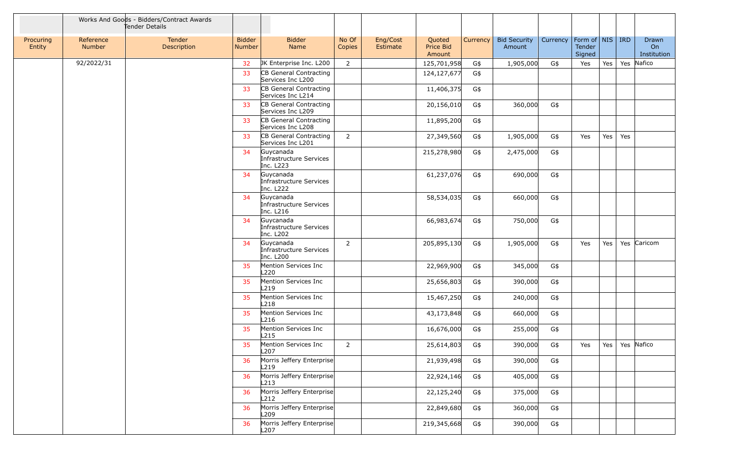|                     |                            | Works And Goods - Bidders/Contract Awards<br>Tender Details |                         |                                                   |                 |                      |                               |          |                               |          |                                     |     |     |                                               |
|---------------------|----------------------------|-------------------------------------------------------------|-------------------------|---------------------------------------------------|-----------------|----------------------|-------------------------------|----------|-------------------------------|----------|-------------------------------------|-----|-----|-----------------------------------------------|
| Procuring<br>Entity | Reference<br><b>Number</b> | Tender<br>Description                                       | <b>Bidder</b><br>Number | <b>Bidder</b><br>Name                             | No Of<br>Copies | Eng/Cost<br>Estimate | Quoted<br>Price Bid<br>Amount | Currency | <b>Bid Security</b><br>Amount | Currency | Form of   NIS  <br>Tender<br>Signed |     | IRD | <b>Drawn</b><br>O <sub>n</sub><br>Institution |
|                     | 92/2022/31                 |                                                             | 32                      | JK Enterprise Inc. L200                           | $\overline{2}$  |                      | 125,701,958                   | G\$      | 1,905,000                     | G\$      | Yes                                 | Yes |     | Yes Nafico                                    |
|                     |                            |                                                             | 33                      | CB General Contracting<br>Services Inc L200       |                 |                      | 124,127,677                   | G\$      |                               |          |                                     |     |     |                                               |
|                     |                            |                                                             | 33                      | CB General Contracting<br>Services Inc L214       |                 |                      | 11,406,375                    | G\$      |                               |          |                                     |     |     |                                               |
|                     |                            |                                                             | 33                      | CB General Contracting<br>Services Inc L209       |                 |                      | 20,156,010                    | G\$      | 360,000                       | G\$      |                                     |     |     |                                               |
|                     |                            |                                                             | 33                      | CB General Contracting<br>Services Inc L208       |                 |                      | 11,895,200                    | G\$      |                               |          |                                     |     |     |                                               |
|                     |                            |                                                             | 33                      | CB General Contracting<br>Services Inc L201       | $\overline{2}$  |                      | 27,349,560                    | G\$      | 1,905,000                     | G\$      | Yes                                 | Yes | Yes |                                               |
|                     |                            |                                                             | 34                      | Guycanada<br>Infrastructure Services<br>Inc. L223 |                 |                      | 215,278,980                   | G\$      | 2,475,000                     | G\$      |                                     |     |     |                                               |
|                     |                            |                                                             | 34                      | Guycanada<br>Infrastructure Services<br>Inc. L222 |                 |                      | 61,237,076                    | G\$      | 690,000                       | G\$      |                                     |     |     |                                               |
|                     |                            |                                                             | 34                      | Guycanada<br>Infrastructure Services<br>Inc. L216 |                 |                      | 58,534,035                    | G\$      | 660,000                       | G\$      |                                     |     |     |                                               |
|                     |                            |                                                             | 34                      | Guycanada<br>Infrastructure Services<br>Inc. L202 |                 |                      | 66,983,674                    | G\$      | 750,000                       | G\$      |                                     |     |     |                                               |
|                     |                            |                                                             | 34                      | Guycanada<br>Infrastructure Services<br>Inc. L200 | 2               |                      | 205,895,130                   | G\$      | 1,905,000                     | G\$      | Yes                                 | Yes |     | Yes Caricom                                   |
|                     |                            |                                                             | 35                      | Mention Services Inc<br>L <sub>220</sub>          |                 |                      | 22,969,900                    | G\$      | 345,000                       | G\$      |                                     |     |     |                                               |
|                     |                            |                                                             | 35                      | Mention Services Inc<br>L <sub>219</sub>          |                 |                      | 25,656,803                    | G\$      | 390,000                       | G\$      |                                     |     |     |                                               |
|                     |                            |                                                             | 35                      | Mention Services Inc<br>L218                      |                 |                      | 15,467,250                    | G\$      | 240,000                       | G\$      |                                     |     |     |                                               |
|                     |                            |                                                             | 35                      | Mention Services Inc<br>L216                      |                 |                      | 43,173,848                    | G\$      | 660,000                       | G\$      |                                     |     |     |                                               |
|                     |                            |                                                             | 35                      | Mention Services Inc<br>L215                      |                 |                      | 16,676,000                    | G\$      | 255,000                       | G\$      |                                     |     |     |                                               |
|                     |                            |                                                             | 35                      | Mention Services Inc<br>L207                      | $\overline{2}$  |                      | 25,614,803                    | G\$      | 390,000                       | G\$      | Yes                                 | Yes |     | Yes Nafico                                    |
|                     |                            |                                                             | 36                      | Morris Jeffery Enterprise<br>L219                 |                 |                      | 21,939,498                    | G\$      | 390,000                       | G\$      |                                     |     |     |                                               |
|                     |                            |                                                             | 36                      | Morris Jeffery Enterprise<br>L213                 |                 |                      | 22,924,146                    | G\$      | 405,000                       | G\$      |                                     |     |     |                                               |
|                     |                            |                                                             | 36                      | Morris Jeffery Enterprise<br>L212                 |                 |                      | 22,125,240                    | G\$      | 375,000                       | G\$      |                                     |     |     |                                               |
|                     |                            |                                                             | 36                      | Morris Jeffery Enterprise<br>L <sub>209</sub>     |                 |                      | 22,849,680                    | G\$      | 360,000                       | G\$      |                                     |     |     |                                               |
|                     |                            |                                                             | 36                      | Morris Jeffery Enterprise<br>L <sub>207</sub>     |                 |                      | 219,345,668                   | G\$      | 390,000                       | G\$      |                                     |     |     |                                               |